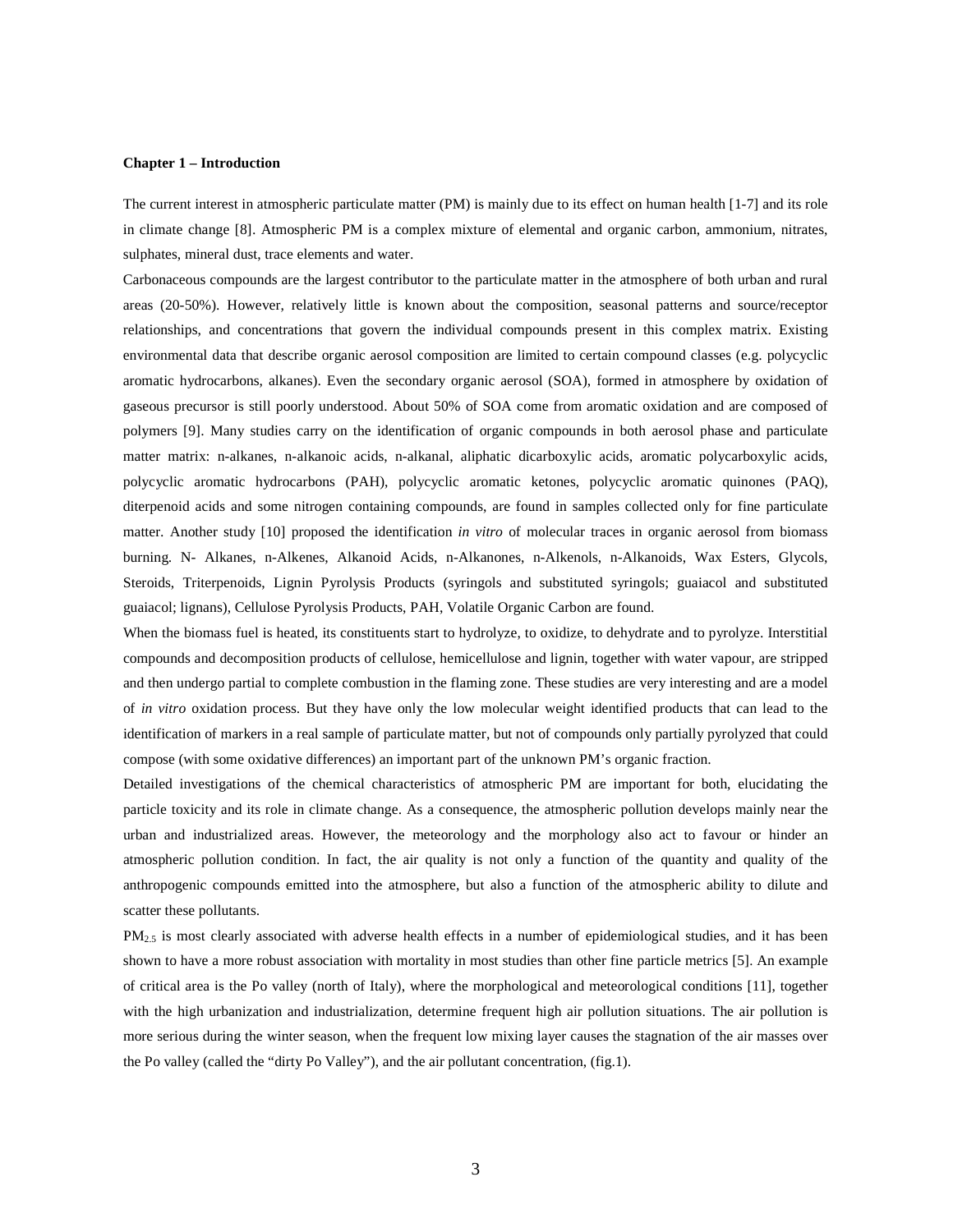#### **Chapter 1 – Introduction**

The current interest in atmospheric particulate matter (PM) is mainly due to its effect on human health [1-7] and its role in climate change [8]. Atmospheric PM is a complex mixture of elemental and organic carbon, ammonium, nitrates, sulphates, mineral dust, trace elements and water.

Carbonaceous compounds are the largest contributor to the particulate matter in the atmosphere of both urban and rural areas (20-50%). However, relatively little is known about the composition, seasonal patterns and source/receptor relationships, and concentrations that govern the individual compounds present in this complex matrix. Existing environmental data that describe organic aerosol composition are limited to certain compound classes (e.g. polycyclic aromatic hydrocarbons, alkanes). Even the secondary organic aerosol (SOA), formed in atmosphere by oxidation of gaseous precursor is still poorly understood. About 50% of SOA come from aromatic oxidation and are composed of polymers [9]. Many studies carry on the identification of organic compounds in both aerosol phase and particulate matter matrix: n-alkanes, n-alkanoic acids, n-alkanal, aliphatic dicarboxylic acids, aromatic polycarboxylic acids, polycyclic aromatic hydrocarbons (PAH), polycyclic aromatic ketones, polycyclic aromatic quinones (PAQ), diterpenoid acids and some nitrogen containing compounds, are found in samples collected only for fine particulate matter. Another study [10] proposed the identification *in vitro* of molecular traces in organic aerosol from biomass burning. N- Alkanes, n-Alkenes, Alkanoid Acids, n-Alkanones, n-Alkenols, n-Alkanoids, Wax Esters, Glycols, Steroids, Triterpenoids, Lignin Pyrolysis Products (syringols and substituted syringols; guaiacol and substituted guaiacol; lignans), Cellulose Pyrolysis Products, PAH, Volatile Organic Carbon are found.

When the biomass fuel is heated, its constituents start to hydrolyze, to oxidize, to dehydrate and to pyrolyze. Interstitial compounds and decomposition products of cellulose, hemicellulose and lignin, together with water vapour, are stripped and then undergo partial to complete combustion in the flaming zone. These studies are very interesting and are a model of *in vitro* oxidation process. But they have only the low molecular weight identified products that can lead to the identification of markers in a real sample of particulate matter, but not of compounds only partially pyrolyzed that could compose (with some oxidative differences) an important part of the unknown PM's organic fraction.

Detailed investigations of the chemical characteristics of atmospheric PM are important for both, elucidating the particle toxicity and its role in climate change. As a consequence, the atmospheric pollution develops mainly near the urban and industrialized areas. However, the meteorology and the morphology also act to favour or hinder an atmospheric pollution condition. In fact, the air quality is not only a function of the quantity and quality of the anthropogenic compounds emitted into the atmosphere, but also a function of the atmospheric ability to dilute and scatter these pollutants.

 $PM_{2.5}$  is most clearly associated with adverse health effects in a number of epidemiological studies, and it has been shown to have a more robust association with mortality in most studies than other fine particle metrics [5]. An example of critical area is the Po valley (north of Italy), where the morphological and meteorological conditions [11], together with the high urbanization and industrialization, determine frequent high air pollution situations. The air pollution is more serious during the winter season, when the frequent low mixing layer causes the stagnation of the air masses over the Po valley (called the "dirty Po Valley"), and the air pollutant concentration, (fig.1).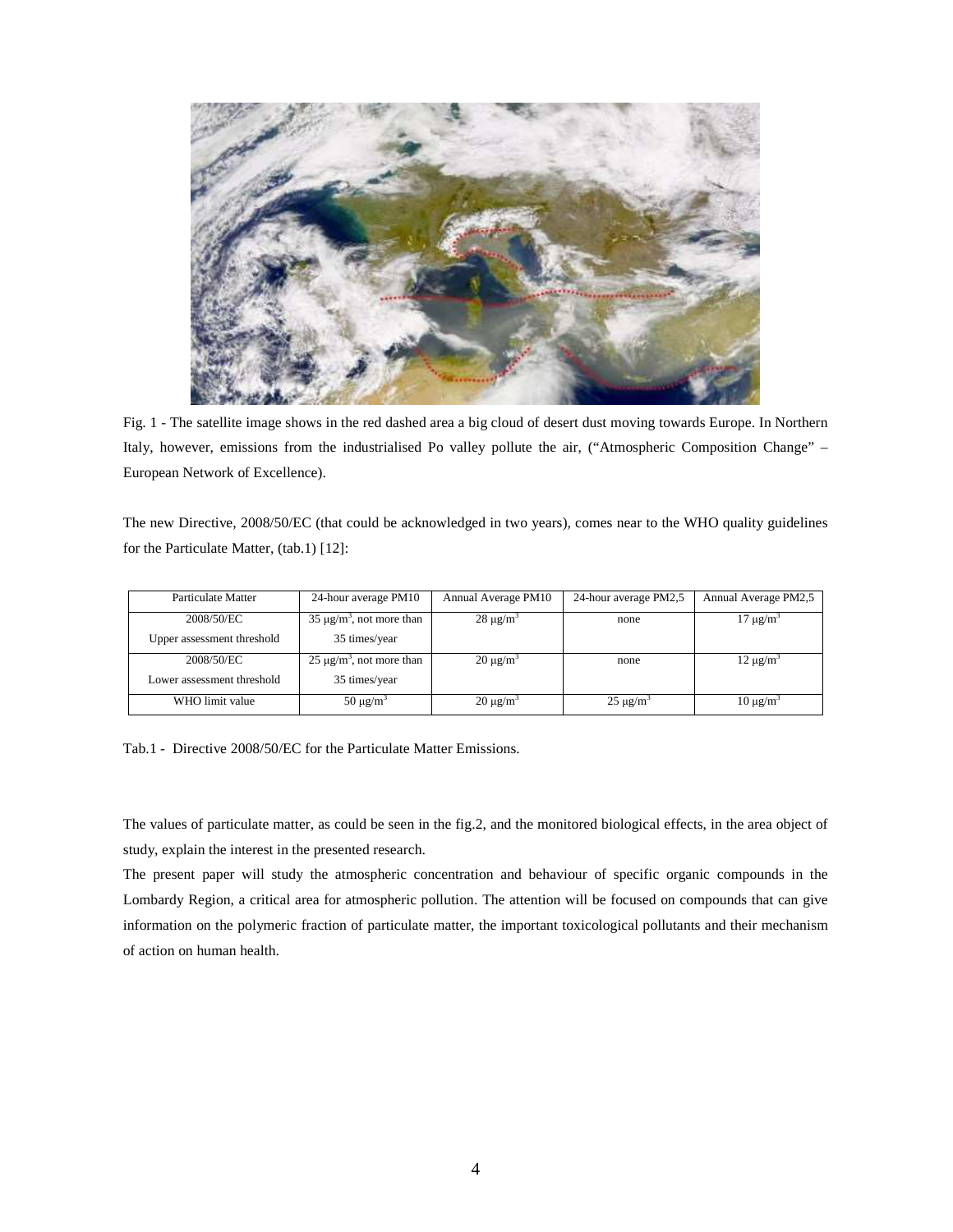

Fig. 1 - The satellite image shows in the red dashed area a big cloud of desert dust moving towards Europe. In Northern Italy, however, emissions from the industrialised Po valley pollute the air, ("Atmospheric Composition Change" – European Network of Excellence).

The new Directive, 2008/50/EC (that could be acknowledged in two years), comes near to the WHO quality guidelines for the Particulate Matter, (tab.1) [12]:

| Particulate Matter         | 24-hour average PM10           | Annual Average PM10 | 24-hour average PM2,5 | Annual Average PM2,5 |
|----------------------------|--------------------------------|---------------------|-----------------------|----------------------|
| 2008/50/EC                 | $35 \mu g/m^3$ , not more than | $28 \text{ µg/m}^3$ | none                  | $17 \mu g/m^3$       |
| Upper assessment threshold | 35 times/year                  |                     |                       |                      |
| 2008/50/EC                 | $25 \mu g/m^3$ , not more than | $20 \text{ µg/m}^3$ | none                  | $12 \mu g/m^3$       |
| Lower assessment threshold | 35 times/year                  |                     |                       |                      |
| WHO limit value            | $50 \mu g/m^3$                 | $20 \mu g/m^3$      | $25 \mu g/m^3$        | $10 \mu g/m^3$       |

Tab.1 - Directive 2008/50/EC for the Particulate Matter Emissions.

The values of particulate matter, as could be seen in the fig.2, and the monitored biological effects, in the area object of study, explain the interest in the presented research.

The present paper will study the atmospheric concentration and behaviour of specific organic compounds in the Lombardy Region, a critical area for atmospheric pollution. The attention will be focused on compounds that can give information on the polymeric fraction of particulate matter, the important toxicological pollutants and their mechanism of action on human health.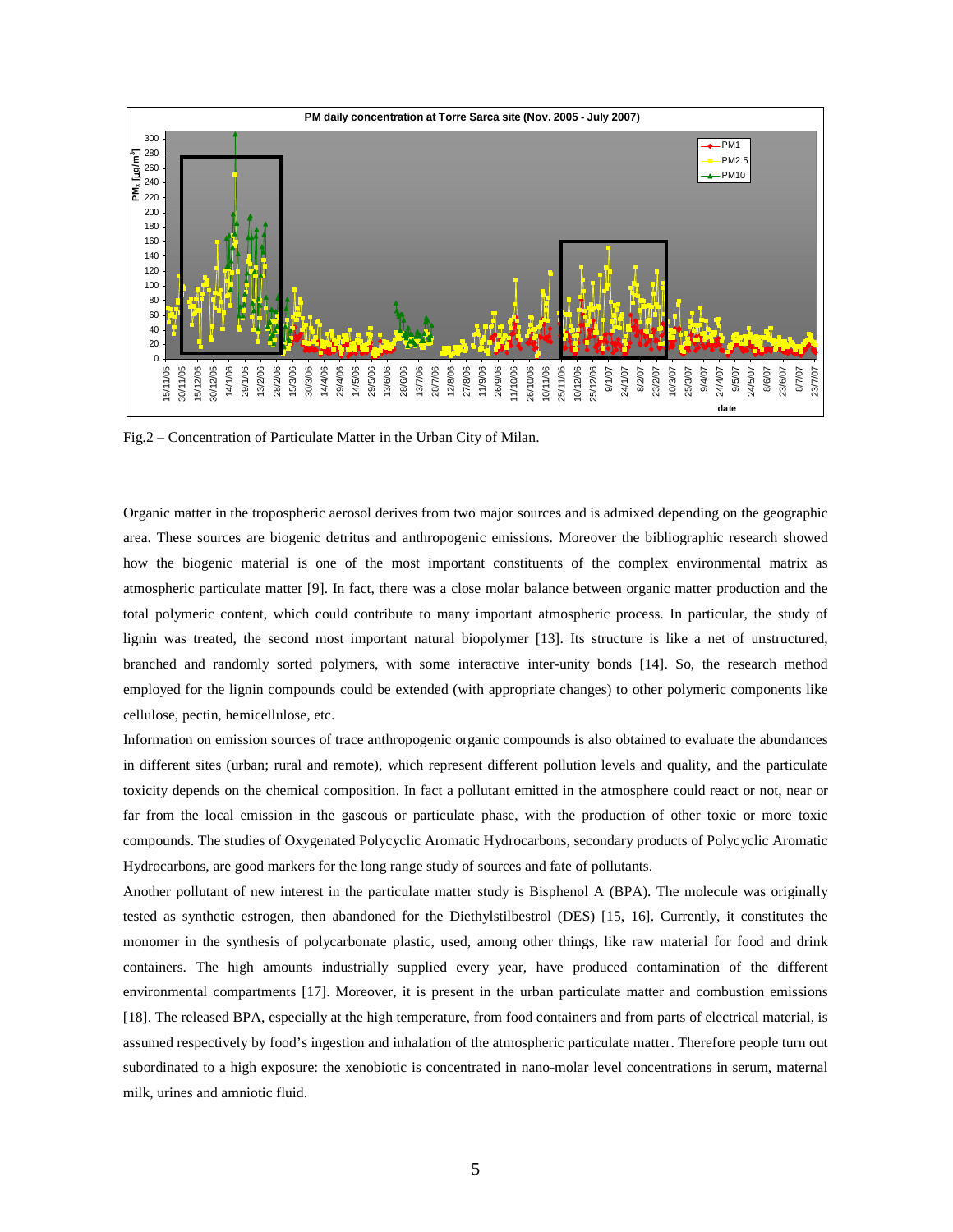

Fig.2 – Concentration of Particulate Matter in the Urban City of Milan.

Organic matter in the tropospheric aerosol derives from two major sources and is admixed depending on the geographic area. These sources are biogenic detritus and anthropogenic emissions. Moreover the bibliographic research showed how the biogenic material is one of the most important constituents of the complex environmental matrix as atmospheric particulate matter [9]. In fact, there was a close molar balance between organic matter production and the total polymeric content, which could contribute to many important atmospheric process. In particular, the study of lignin was treated, the second most important natural biopolymer [13]. Its structure is like a net of unstructured, branched and randomly sorted polymers, with some interactive inter-unity bonds [14]. So, the research method employed for the lignin compounds could be extended (with appropriate changes) to other polymeric components like cellulose, pectin, hemicellulose, etc.

Information on emission sources of trace anthropogenic organic compounds is also obtained to evaluate the abundances in different sites (urban; rural and remote), which represent different pollution levels and quality, and the particulate toxicity depends on the chemical composition. In fact a pollutant emitted in the atmosphere could react or not, near or far from the local emission in the gaseous or particulate phase, with the production of other toxic or more toxic compounds. The studies of Oxygenated Polycyclic Aromatic Hydrocarbons, secondary products of Polycyclic Aromatic Hydrocarbons, are good markers for the long range study of sources and fate of pollutants.

Another pollutant of new interest in the particulate matter study is Bisphenol A (BPA). The molecule was originally tested as synthetic estrogen, then abandoned for the Diethylstilbestrol (DES) [15, 16]. Currently, it constitutes the monomer in the synthesis of polycarbonate plastic, used, among other things, like raw material for food and drink containers. The high amounts industrially supplied every year, have produced contamination of the different environmental compartments [17]. Moreover, it is present in the urban particulate matter and combustion emissions [18]. The released BPA, especially at the high temperature, from food containers and from parts of electrical material, is assumed respectively by food's ingestion and inhalation of the atmospheric particulate matter. Therefore people turn out subordinated to a high exposure: the xenobiotic is concentrated in nano-molar level concentrations in serum, maternal milk, urines and amniotic fluid.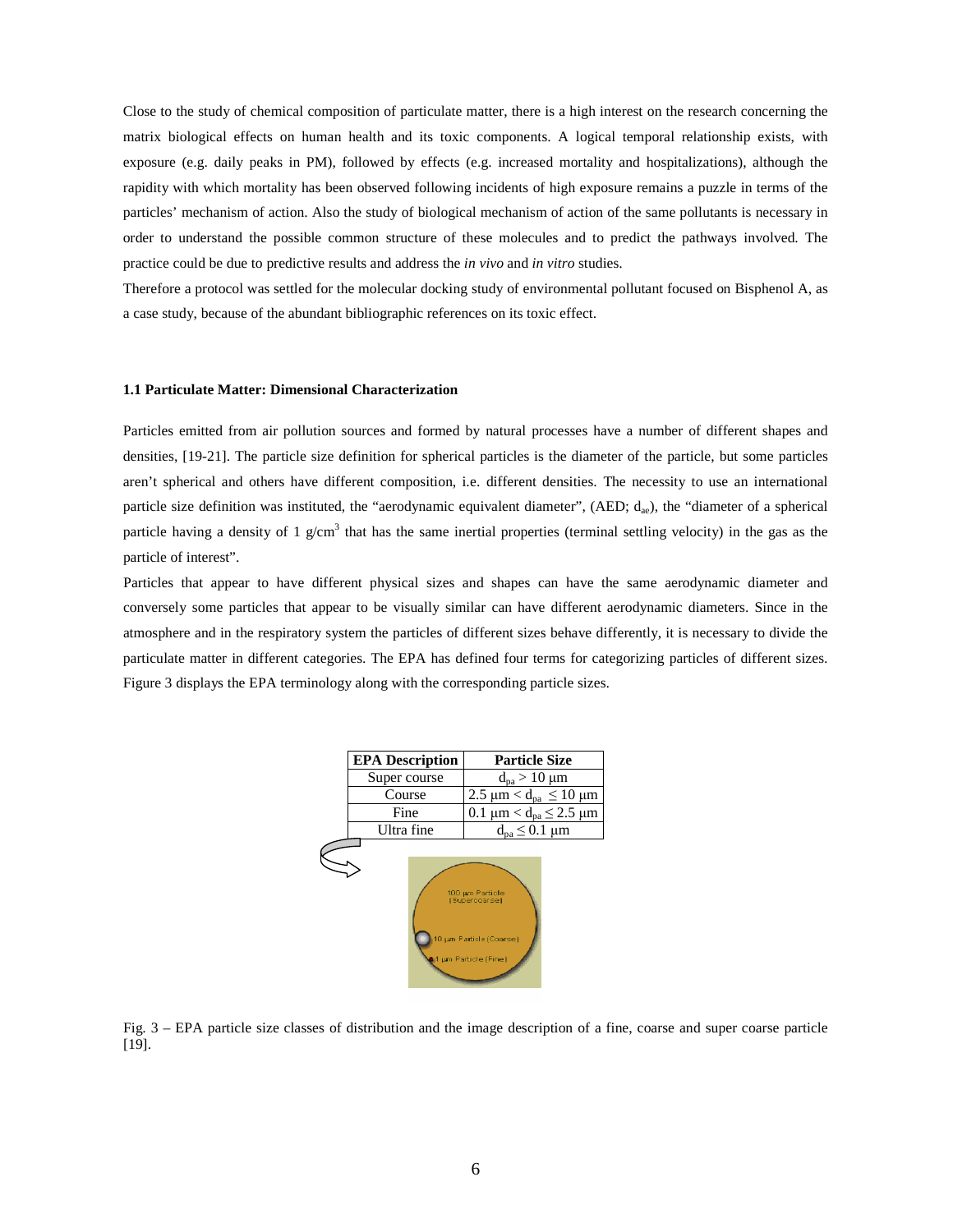Close to the study of chemical composition of particulate matter, there is a high interest on the research concerning the matrix biological effects on human health and its toxic components. A logical temporal relationship exists, with exposure (e.g. daily peaks in PM), followed by effects (e.g. increased mortality and hospitalizations), although the rapidity with which mortality has been observed following incidents of high exposure remains a puzzle in terms of the particles' mechanism of action. Also the study of biological mechanism of action of the same pollutants is necessary in order to understand the possible common structure of these molecules and to predict the pathways involved. The practice could be due to predictive results and address the *in vivo* and *in vitro* studies.

Therefore a protocol was settled for the molecular docking study of environmental pollutant focused on Bisphenol A, as a case study, because of the abundant bibliographic references on its toxic effect.

#### **1.1 Particulate Matter: Dimensional Characterization**

Particles emitted from air pollution sources and formed by natural processes have a number of different shapes and densities, [19-21]. The particle size definition for spherical particles is the diameter of the particle, but some particles aren't spherical and others have different composition, i.e. different densities. The necessity to use an international particle size definition was instituted, the "aerodynamic equivalent diameter", (AED;  $d_{ae}$ ), the "diameter of a spherical particle having a density of 1  $g/cm<sup>3</sup>$  that has the same inertial properties (terminal settling velocity) in the gas as the particle of interest".

Particles that appear to have different physical sizes and shapes can have the same aerodynamic diameter and conversely some particles that appear to be visually similar can have different aerodynamic diameters. Since in the atmosphere and in the respiratory system the particles of different sizes behave differently, it is necessary to divide the particulate matter in different categories. The EPA has defined four terms for categorizing particles of different sizes. Figure 3 displays the EPA terminology along with the corresponding particle sizes.



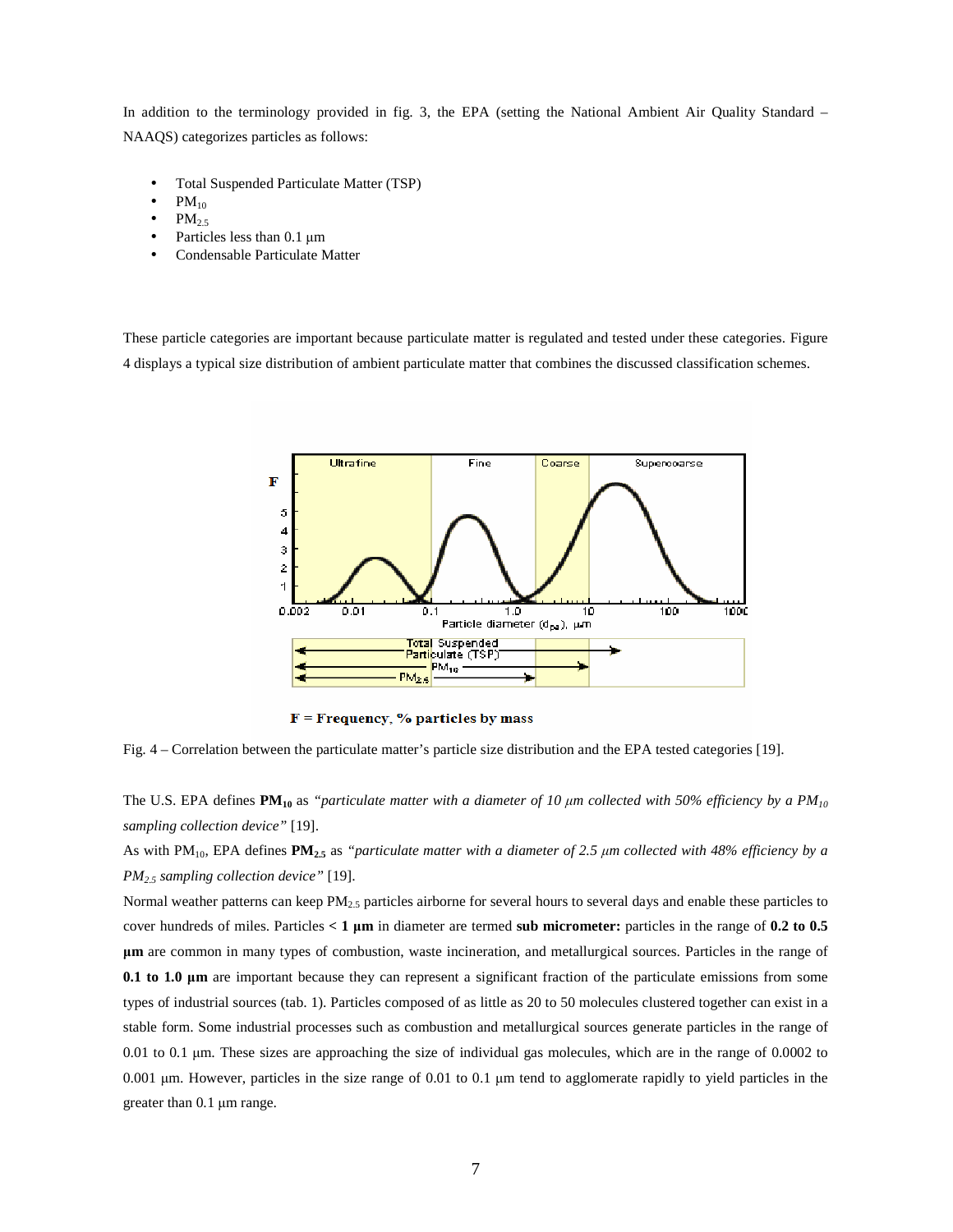In addition to the terminology provided in fig. 3, the EPA (setting the National Ambient Air Quality Standard – NAAQS) categorizes particles as follows:

- Total Suspended Particulate Matter (TSP)
- $PM_{10}$
- $PM<sub>2.5</sub>$
- Particles less than 0.1  $\mu$ m
- Condensable Particulate Matter

These particle categories are important because particulate matter is regulated and tested under these categories. Figure 4 displays a typical size distribution of ambient particulate matter that combines the discussed classification schemes.



 $F = F$ requency, % particles by mass

Fig. 4 – Correlation between the particulate matter's particle size distribution and the EPA tested categories [19].

The U.S. EPA defines  $PM_{10}$  as *"particulate matter with a diameter of 10*  $\mu$ *m collected with 50% efficiency by a PM<sub>10</sub> sampling collection device"* [19].

As with PM10, EPA defines **PM2.5** as *"particulate matter with a diameter of 2.5* µ*m collected with 48% efficiency by a PM2.5 sampling collection device"* [19].

Normal weather patterns can keep PM2.5 particles airborne for several hours to several days and enable these particles to cover hundreds of miles. Particles  $\lt 1 \mu m$  in diameter are termed sub micrometer: particles in the range of 0.2 to 0.5 µ**m** are common in many types of combustion, waste incineration, and metallurgical sources. Particles in the range of **0.1 to 1.0**  $\mu$ m are important because they can represent a significant fraction of the particulate emissions from some types of industrial sources (tab. 1). Particles composed of as little as 20 to 50 molecules clustered together can exist in a stable form. Some industrial processes such as combustion and metallurgical sources generate particles in the range of 0.01 to 0.1 µm. These sizes are approaching the size of individual gas molecules, which are in the range of 0.0002 to 0.001  $\mu$ m. However, particles in the size range of 0.01 to 0.1  $\mu$ m tend to agglomerate rapidly to yield particles in the greater than 0.1 µm range.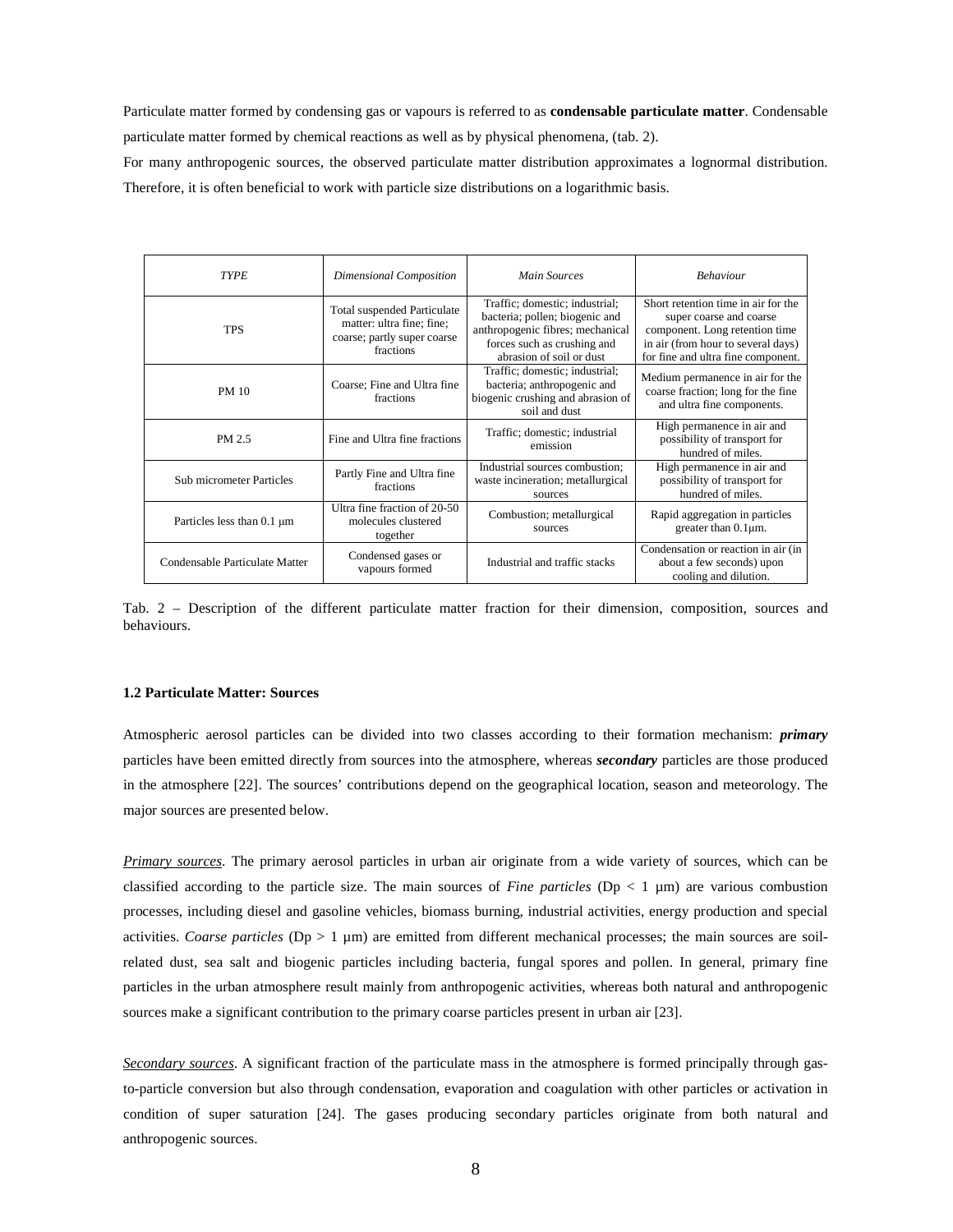Particulate matter formed by condensing gas or vapours is referred to as **condensable particulate matter**. Condensable particulate matter formed by chemical reactions as well as by physical phenomena, (tab. 2).

For many anthropogenic sources, the observed particulate matter distribution approximates a lognormal distribution. Therefore, it is often beneficial to work with particle size distributions on a logarithmic basis.

| <b>TYPE</b>                     | Dimensional Composition                                                                                     | <b>Main Sources</b>                                                                                                                                             | <b>Behaviour</b>                                                                                                                                                             |
|---------------------------------|-------------------------------------------------------------------------------------------------------------|-----------------------------------------------------------------------------------------------------------------------------------------------------------------|------------------------------------------------------------------------------------------------------------------------------------------------------------------------------|
| <b>TPS</b>                      | <b>Total suspended Particulate</b><br>matter: ultra fine; fine;<br>coarse; partly super coarse<br>fractions | Traffic; domestic; industrial;<br>bacteria; pollen; biogenic and<br>anthropogenic fibres; mechanical<br>forces such as crushing and<br>abrasion of soil or dust | Short retention time in air for the<br>super coarse and coarse<br>component. Long retention time<br>in air (from hour to several days)<br>for fine and ultra fine component. |
| <b>PM 10</b>                    | Coarse; Fine and Ultra fine<br>fractions                                                                    | Traffic; domestic; industrial;<br>bacteria; anthropogenic and<br>biogenic crushing and abrasion of<br>soil and dust                                             | Medium permanence in air for the<br>coarse fraction; long for the fine<br>and ultra fine components.                                                                         |
| PM 2.5                          | Fine and Ultra fine fractions                                                                               | Traffic; domestic; industrial<br>emission                                                                                                                       | High permanence in air and<br>possibility of transport for<br>hundred of miles.                                                                                              |
| <b>Sub micrometer Particles</b> | Partly Fine and Ultra fine<br>fractions                                                                     | Industrial sources combustion;<br>waste incineration; metallurgical<br>sources                                                                                  | High permanence in air and<br>possibility of transport for<br>hundred of miles.                                                                                              |
| Particles less than $0.1 \mu m$ | Ultra fine fraction of 20-50<br>molecules clustered<br>together                                             | Combustion; metallurgical<br>sources                                                                                                                            | Rapid aggregation in particles<br>greater than $0.1 \mu m$ .                                                                                                                 |
| Condensable Particulate Matter  | Condensed gases or<br>vapours formed                                                                        | Industrial and traffic stacks                                                                                                                                   | Condensation or reaction in air (in<br>about a few seconds) upon<br>cooling and dilution.                                                                                    |

Tab. 2 – Description of the different particulate matter fraction for their dimension, composition, sources and behaviours.

### **1.2 Particulate Matter: Sources**

Atmospheric aerosol particles can be divided into two classes according to their formation mechanism: *primary* particles have been emitted directly from sources into the atmosphere, whereas *secondary* particles are those produced in the atmosphere [22]. The sources' contributions depend on the geographical location, season and meteorology. The major sources are presented below.

*Primary sources*. The primary aerosol particles in urban air originate from a wide variety of sources, which can be classified according to the particle size. The main sources of *Fine particles* ( $Dp < 1 \mu m$ ) are various combustion processes, including diesel and gasoline vehicles, biomass burning, industrial activities, energy production and special activities. *Coarse particles* ( $Dp > 1 \mu m$ ) are emitted from different mechanical processes; the main sources are soilrelated dust, sea salt and biogenic particles including bacteria, fungal spores and pollen. In general, primary fine particles in the urban atmosphere result mainly from anthropogenic activities, whereas both natural and anthropogenic sources make a significant contribution to the primary coarse particles present in urban air [23].

*Secondary sources*. A significant fraction of the particulate mass in the atmosphere is formed principally through gasto-particle conversion but also through condensation, evaporation and coagulation with other particles or activation in condition of super saturation [24]. The gases producing secondary particles originate from both natural and anthropogenic sources.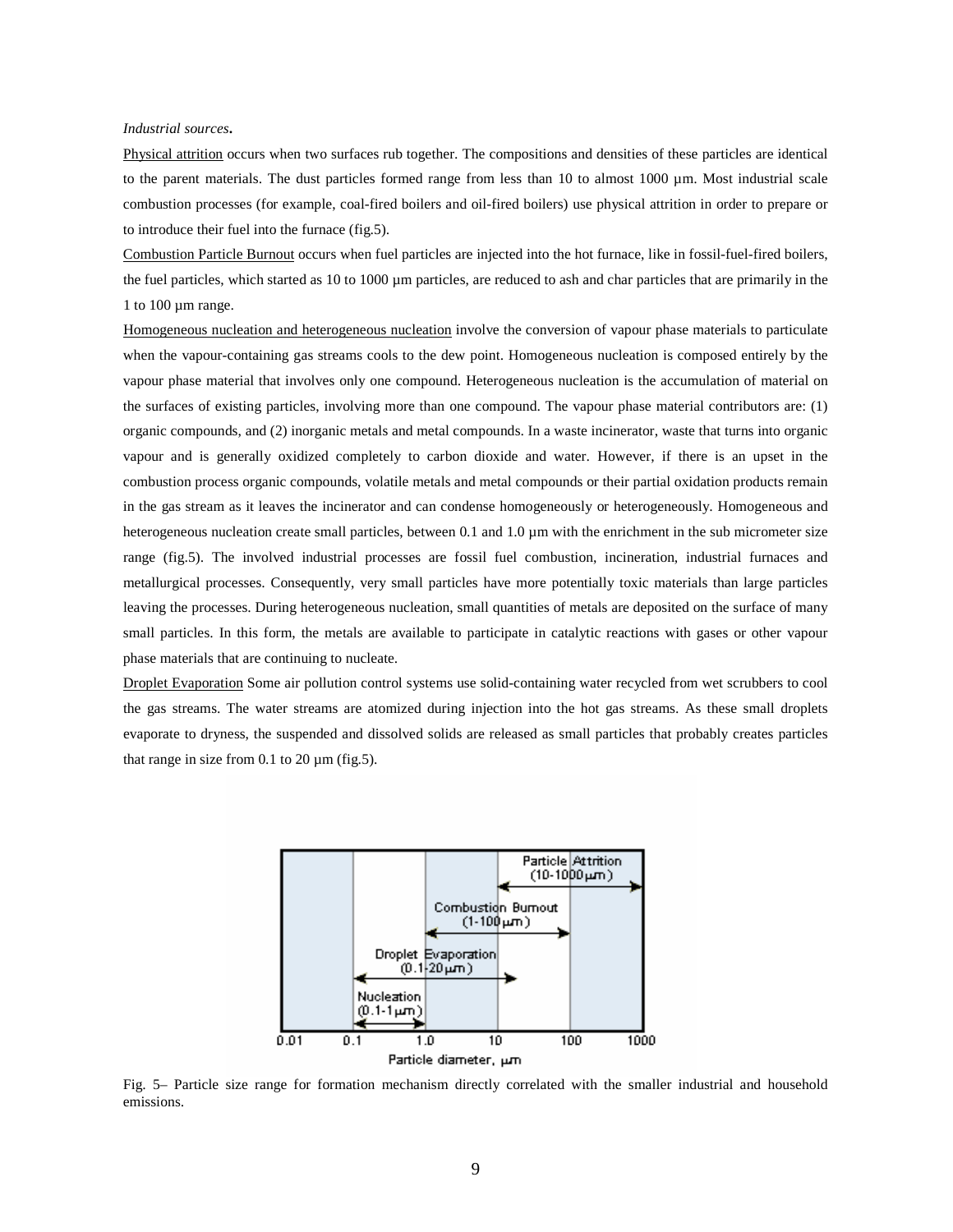#### *Industrial sources***.**

Physical attrition occurs when two surfaces rub together. The compositions and densities of these particles are identical to the parent materials. The dust particles formed range from less than  $10$  to almost  $1000 \mu m$ . Most industrial scale combustion processes (for example, coal-fired boilers and oil-fired boilers) use physical attrition in order to prepare or to introduce their fuel into the furnace (fig.5).

Combustion Particle Burnout occurs when fuel particles are injected into the hot furnace, like in fossil-fuel-fired boilers, the fuel particles, which started as 10 to 1000 µm particles, are reduced to ash and char particles that are primarily in the 1 to  $100 \mu m$  range.

Homogeneous nucleation and heterogeneous nucleation involve the conversion of vapour phase materials to particulate when the vapour-containing gas streams cools to the dew point. Homogeneous nucleation is composed entirely by the vapour phase material that involves only one compound. Heterogeneous nucleation is the accumulation of material on the surfaces of existing particles, involving more than one compound. The vapour phase material contributors are: (1) organic compounds, and (2) inorganic metals and metal compounds. In a waste incinerator, waste that turns into organic vapour and is generally oxidized completely to carbon dioxide and water. However, if there is an upset in the combustion process organic compounds, volatile metals and metal compounds or their partial oxidation products remain in the gas stream as it leaves the incinerator and can condense homogeneously or heterogeneously. Homogeneous and heterogeneous nucleation create small particles, between 0.1 and 1.0  $\mu$ m with the enrichment in the sub micrometer size range (fig.5). The involved industrial processes are fossil fuel combustion, incineration, industrial furnaces and metallurgical processes. Consequently, very small particles have more potentially toxic materials than large particles leaving the processes. During heterogeneous nucleation, small quantities of metals are deposited on the surface of many small particles. In this form, the metals are available to participate in catalytic reactions with gases or other vapour phase materials that are continuing to nucleate.

Droplet Evaporation Some air pollution control systems use solid-containing water recycled from wet scrubbers to cool the gas streams. The water streams are atomized during injection into the hot gas streams. As these small droplets evaporate to dryness, the suspended and dissolved solids are released as small particles that probably creates particles that range in size from 0.1 to 20  $\mu$ m (fig.5).



Fig. 5– Particle size range for formation mechanism directly correlated with the smaller industrial and household emissions.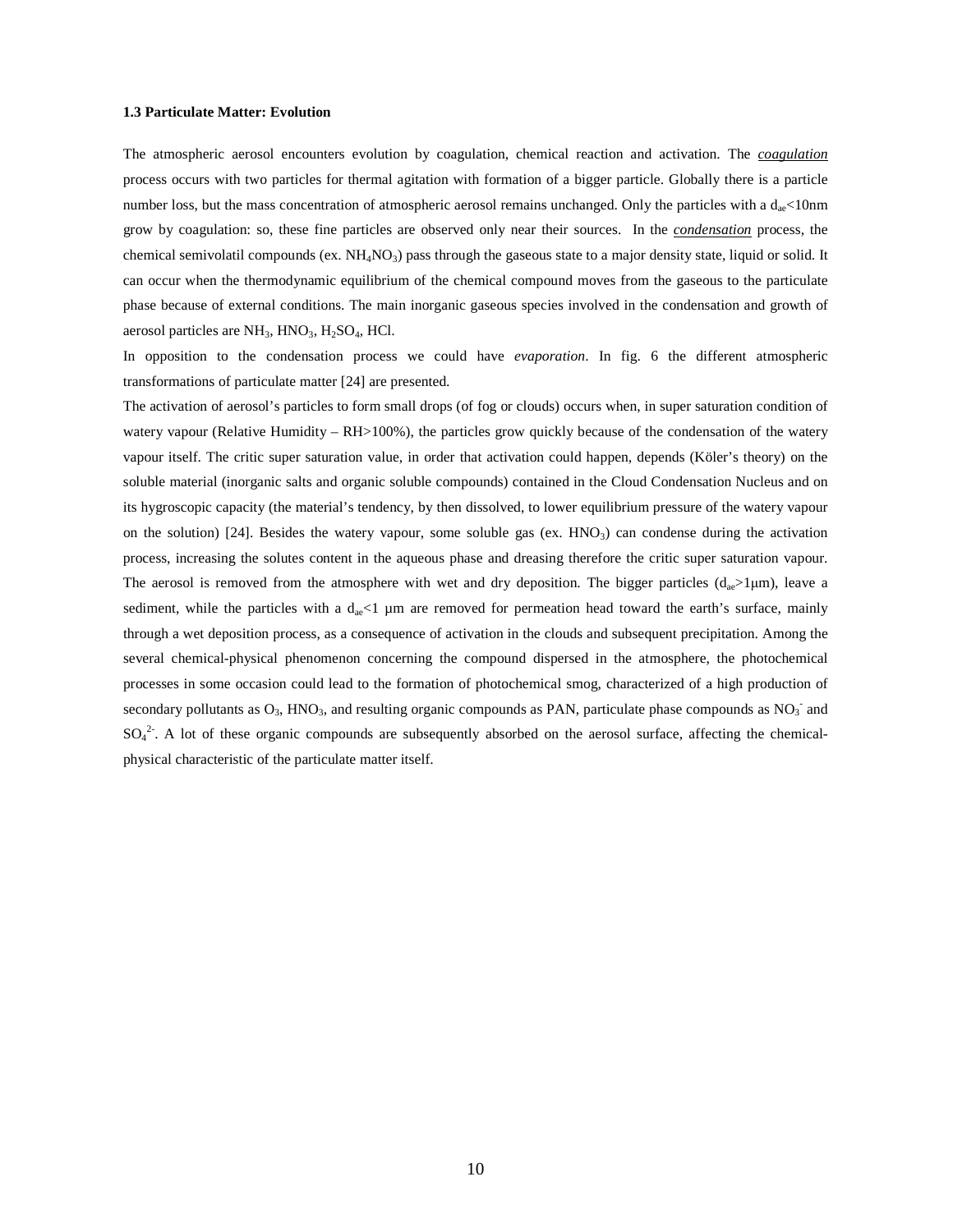#### **1.3 Particulate Matter: Evolution**

The atmospheric aerosol encounters evolution by coagulation, chemical reaction and activation. The *coagulation* process occurs with two particles for thermal agitation with formation of a bigger particle. Globally there is a particle number loss, but the mass concentration of atmospheric aerosol remains unchanged. Only the particles with a  $d_{ae}$ <10nm grow by coagulation: so, these fine particles are observed only near their sources. In the *condensation* process, the chemical semivolatil compounds (ex.  $NH_4NO_3$ ) pass through the gaseous state to a major density state, liquid or solid. It can occur when the thermodynamic equilibrium of the chemical compound moves from the gaseous to the particulate phase because of external conditions. The main inorganic gaseous species involved in the condensation and growth of aerosol particles are  $NH_3$ ,  $HNO_3$ ,  $H_2SO_4$ , HCl.

In opposition to the condensation process we could have *evaporation*. In fig. 6 the different atmospheric transformations of particulate matter [24] are presented.

The activation of aerosol's particles to form small drops (of fog or clouds) occurs when, in super saturation condition of watery vapour (Relative Humidity – RH>100%), the particles grow quickly because of the condensation of the watery vapour itself. The critic super saturation value, in order that activation could happen, depends (Köler's theory) on the soluble material (inorganic salts and organic soluble compounds) contained in the Cloud Condensation Nucleus and on its hygroscopic capacity (the material's tendency, by then dissolved, to lower equilibrium pressure of the watery vapour on the solution) [24]. Besides the watery vapour, some soluble gas (ex.  $HNO<sub>3</sub>$ ) can condense during the activation process, increasing the solutes content in the aqueous phase and dreasing therefore the critic super saturation vapour. The aerosol is removed from the atmosphere with wet and dry deposition. The bigger particles  $(d_{ae} > 1 \mu m)$ , leave a sediment, while the particles with a  $d_{ac}$ <1 µm are removed for permeation head toward the earth's surface, mainly through a wet deposition process, as a consequence of activation in the clouds and subsequent precipitation. Among the several chemical-physical phenomenon concerning the compound dispersed in the atmosphere, the photochemical processes in some occasion could lead to the formation of photochemical smog, characterized of a high production of secondary pollutants as  $O_3$ , HNO<sub>3</sub>, and resulting organic compounds as PAN, particulate phase compounds as  $NO_3^-$  and  $SO_4^2$ . A lot of these organic compounds are subsequently absorbed on the aerosol surface, affecting the chemicalphysical characteristic of the particulate matter itself.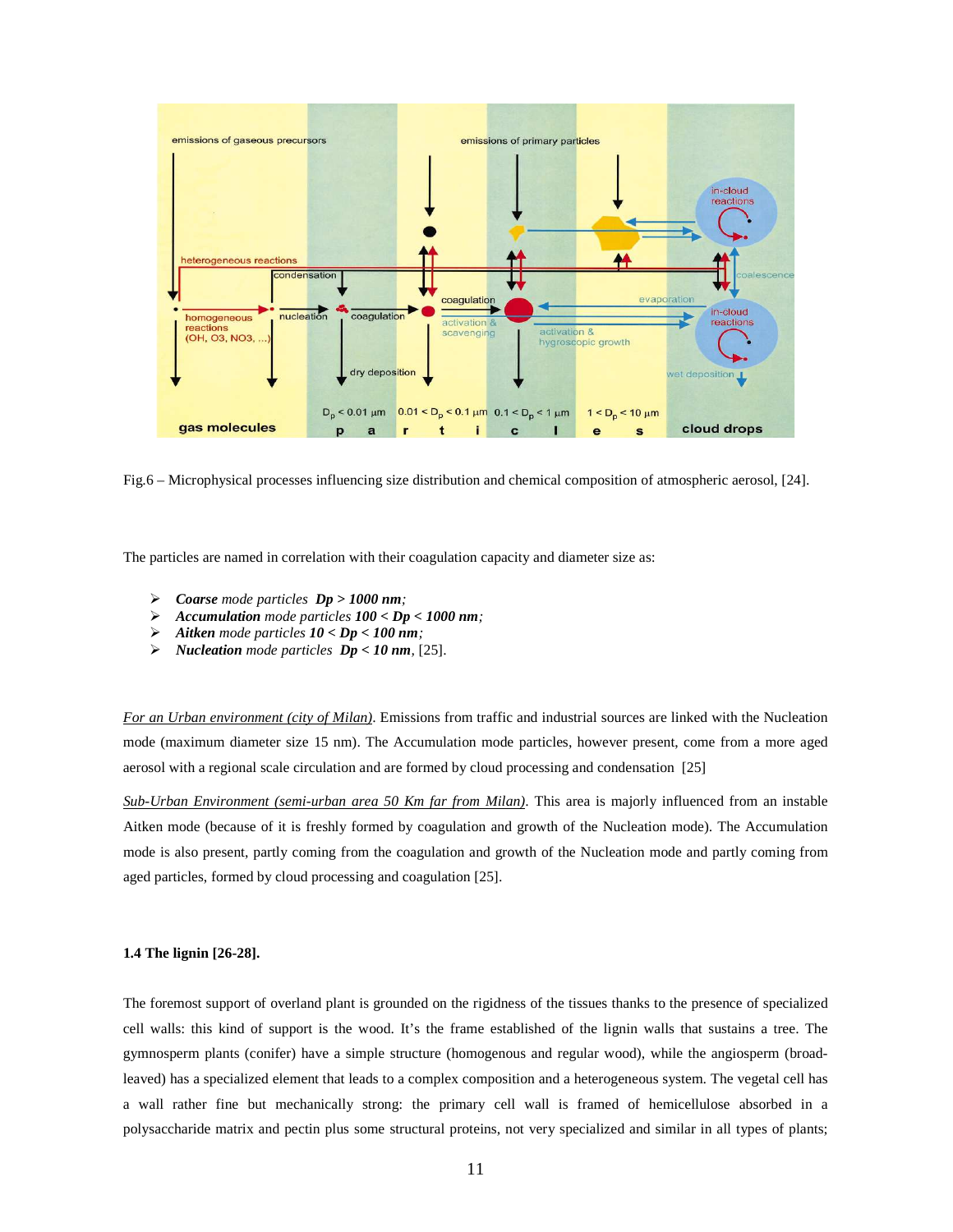

Fig.6 – Microphysical processes influencing size distribution and chemical composition of atmospheric aerosol, [24].

The particles are named in correlation with their coagulation capacity and diameter size as:

- *Coarse mode particles Dp > 1000 nm;*
- *Accumulation mode particles 100 < Dp < 1000 nm;*
- *Aitken mode particles 10 < Dp < 100 nm;*
- *Nucleation mode particles Dp < 10 nm,* [25].

*For an Urban environment (city of Milan)*. Emissions from traffic and industrial sources are linked with the Nucleation mode (maximum diameter size 15 nm). The Accumulation mode particles, however present, come from a more aged aerosol with a regional scale circulation and are formed by cloud processing and condensation [25]

*Sub-Urban Environment (semi-urban area 50 Km far from Milan)*. This area is majorly influenced from an instable Aitken mode (because of it is freshly formed by coagulation and growth of the Nucleation mode). The Accumulation mode is also present, partly coming from the coagulation and growth of the Nucleation mode and partly coming from aged particles, formed by cloud processing and coagulation [25].

## **1.4 The lignin [26-28].**

The foremost support of overland plant is grounded on the rigidness of the tissues thanks to the presence of specialized cell walls: this kind of support is the wood. It's the frame established of the lignin walls that sustains a tree. The gymnosperm plants (conifer) have a simple structure (homogenous and regular wood), while the angiosperm (broadleaved) has a specialized element that leads to a complex composition and a heterogeneous system. The vegetal cell has a wall rather fine but mechanically strong: the primary cell wall is framed of hemicellulose absorbed in a polysaccharide matrix and pectin plus some structural proteins, not very specialized and similar in all types of plants;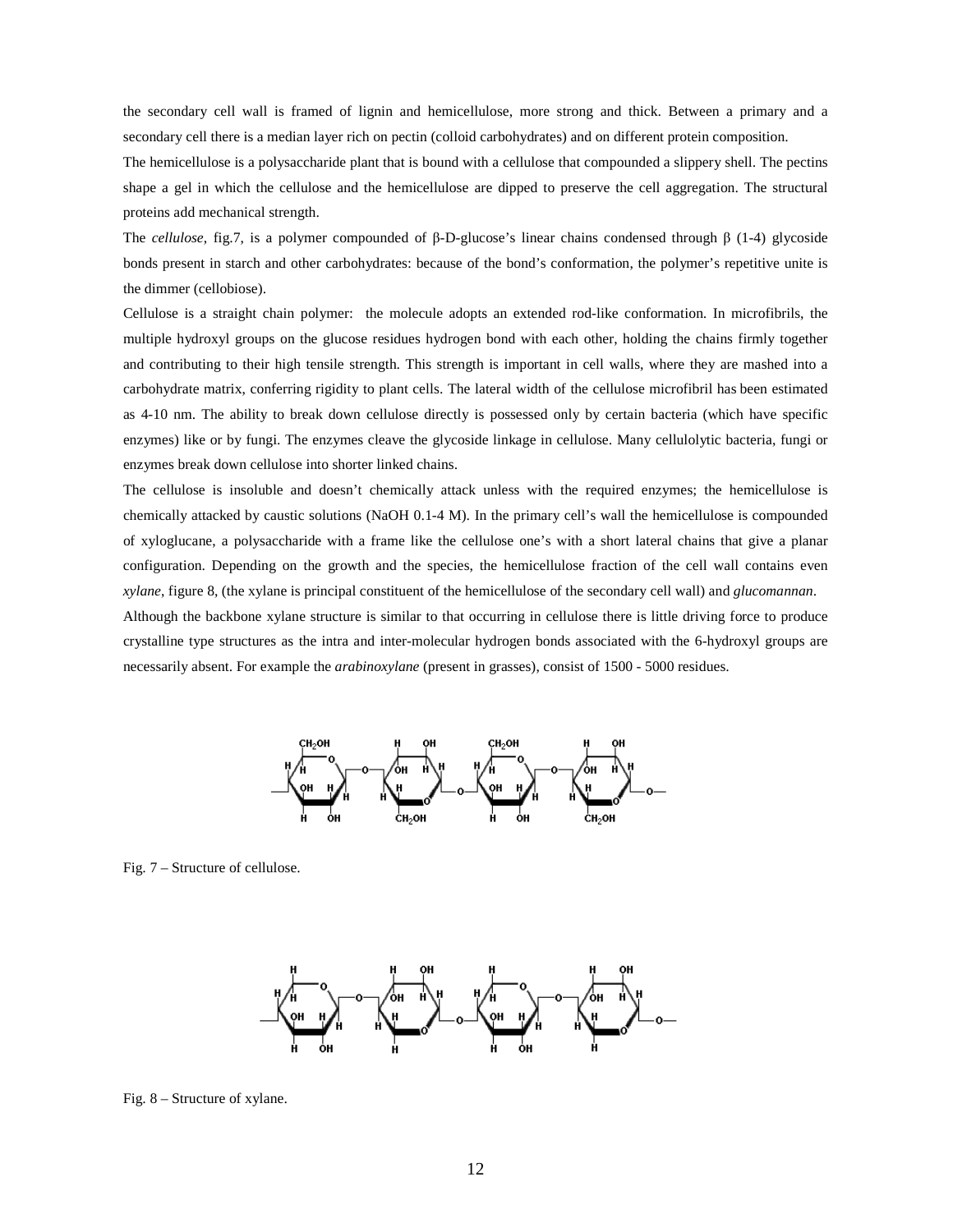the secondary cell wall is framed of lignin and hemicellulose, more strong and thick. Between a primary and a secondary cell there is a median layer rich on pectin (colloid carbohydrates) and on different protein composition.

The hemicellulose is a polysaccharide plant that is bound with a cellulose that compounded a slippery shell. The pectins shape a gel in which the cellulose and the hemicellulose are dipped to preserve the cell aggregation. The structural proteins add mechanical strength.

The *cellulose*, fig.7, is a polymer compounded of β-D-glucose's linear chains condensed through β (1-4) glycoside bonds present in starch and other carbohydrates: because of the bond's conformation, the polymer's repetitive unite is the dimmer (cellobiose).

Cellulose is a straight chain polymer: the molecule adopts an extended rod-like conformation. In microfibrils, the multiple hydroxyl groups on the glucose residues hydrogen bond with each other, holding the chains firmly together and contributing to their high tensile strength. This strength is important in cell walls, where they are mashed into a carbohydrate matrix, conferring rigidity to plant cells. The lateral width of the cellulose microfibril has been estimated as 4-10 nm. The ability to break down cellulose directly is possessed only by certain bacteria (which have specific enzymes) like or by fungi. The enzymes cleave the glycoside linkage in cellulose. Many cellulolytic bacteria, fungi or enzymes break down cellulose into shorter linked chains.

The cellulose is insoluble and doesn't chemically attack unless with the required enzymes; the hemicellulose is chemically attacked by caustic solutions (NaOH 0.1-4 M). In the primary cell's wall the hemicellulose is compounded of xyloglucane, a polysaccharide with a frame like the cellulose one's with a short lateral chains that give a planar configuration. Depending on the growth and the species, the hemicellulose fraction of the cell wall contains even *xylane*, figure 8, (the xylane is principal constituent of the hemicellulose of the secondary cell wall) and *glucomannan*.

Although the backbone xylane structure is similar to that occurring in cellulose there is little driving force to produce crystalline type structures as the intra and inter-molecular hydrogen bonds associated with the 6-hydroxyl groups are necessarily absent. For example the *arabinoxylane* (present in grasses), consist of 1500 - 5000 residues.



Fig. 7 – Structure of cellulose.



Fig. 8 – Structure of xylane.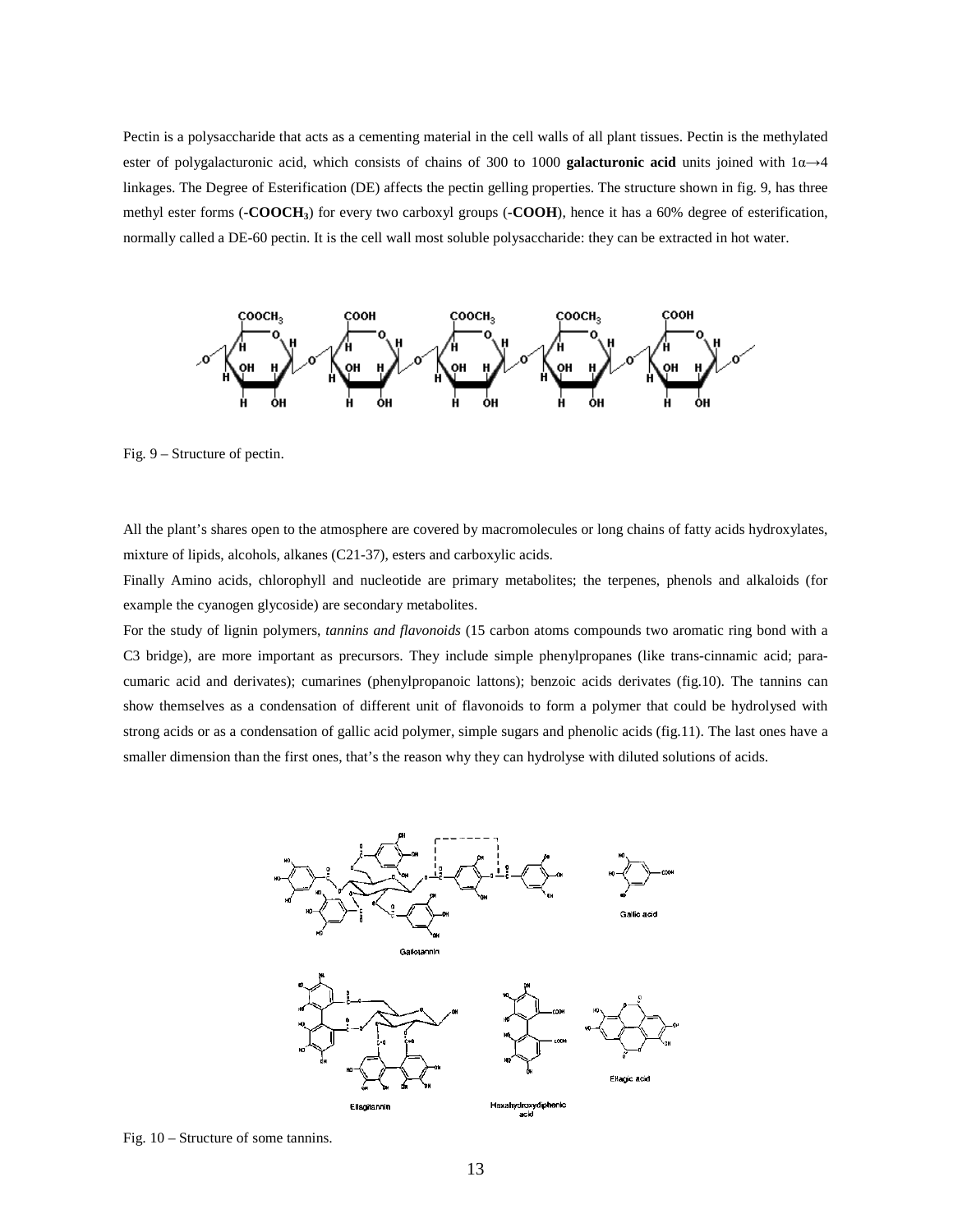Pectin is a polysaccharide that acts as a cementing material in the cell walls of all plant tissues. Pectin is the methylated ester of polygalacturonic acid, which consists of chains of 300 to 1000 **galacturonic acid** units joined with 1α→4 linkages. The Degree of Esterification (DE) affects the pectin gelling properties. The structure shown in fig. 9, has three methyl ester forms (**-COOCH3**) for every two carboxyl groups (**-COOH**), hence it has a 60% degree of esterification, normally called a DE-60 pectin. It is the cell wall most soluble polysaccharide: they can be extracted in hot water.



Fig. 9 – Structure of pectin.

All the plant's shares open to the atmosphere are covered by macromolecules or long chains of fatty acids hydroxylates, mixture of lipids, alcohols, alkanes (C21-37), esters and carboxylic acids.

Finally Amino acids, chlorophyll and nucleotide are primary metabolites; the terpenes, phenols and alkaloids (for example the cyanogen glycoside) are secondary metabolites.

For the study of lignin polymers, *tannins and flavonoids* (15 carbon atoms compounds two aromatic ring bond with a C3 bridge), are more important as precursors. They include simple phenylpropanes (like trans-cinnamic acid; paracumaric acid and derivates); cumarines (phenylpropanoic lattons); benzoic acids derivates (fig.10). The tannins can show themselves as a condensation of different unit of flavonoids to form a polymer that could be hydrolysed with strong acids or as a condensation of gallic acid polymer, simple sugars and phenolic acids (fig.11). The last ones have a smaller dimension than the first ones, that's the reason why they can hydrolyse with diluted solutions of acids.



Fig. 10 – Structure of some tannins.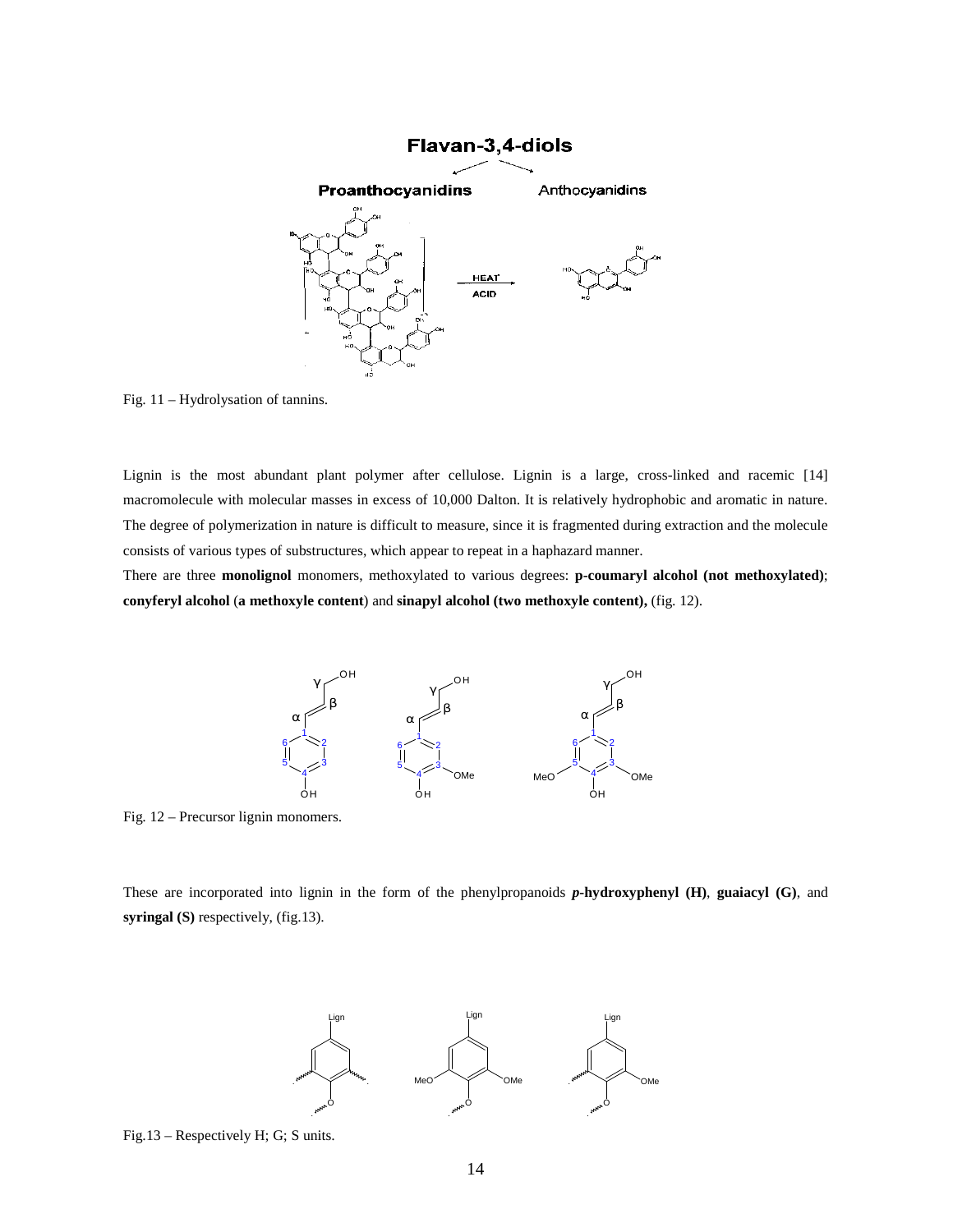

Fig. 11 – Hydrolysation of tannins.

Lignin is the most abundant plant polymer after cellulose. Lignin is a large, cross-linked and racemic [14] macromolecule with molecular masses in excess of 10,000 Dalton. It is relatively hydrophobic and aromatic in nature. The degree of polymerization in nature is difficult to measure, since it is fragmented during extraction and the molecule consists of various types of substructures, which appear to repeat in a haphazard manner.

There are three **monolignol** monomers, methoxylated to various degrees: **p-coumaryl alcohol (not methoxylated)**; **conyferyl alcohol** (**a methoxyle content**) and **sinapyl alcohol (two methoxyle content),** (fig. 12).



Fig. 12 – Precursor lignin monomers.

These are incorporated into lignin in the form of the phenylpropanoids *p***-hydroxyphenyl (H)**, **guaiacyl (G)**, and **syringal (S)** respectively, (fig.13).



Fig.13 – Respectively H; G; S units.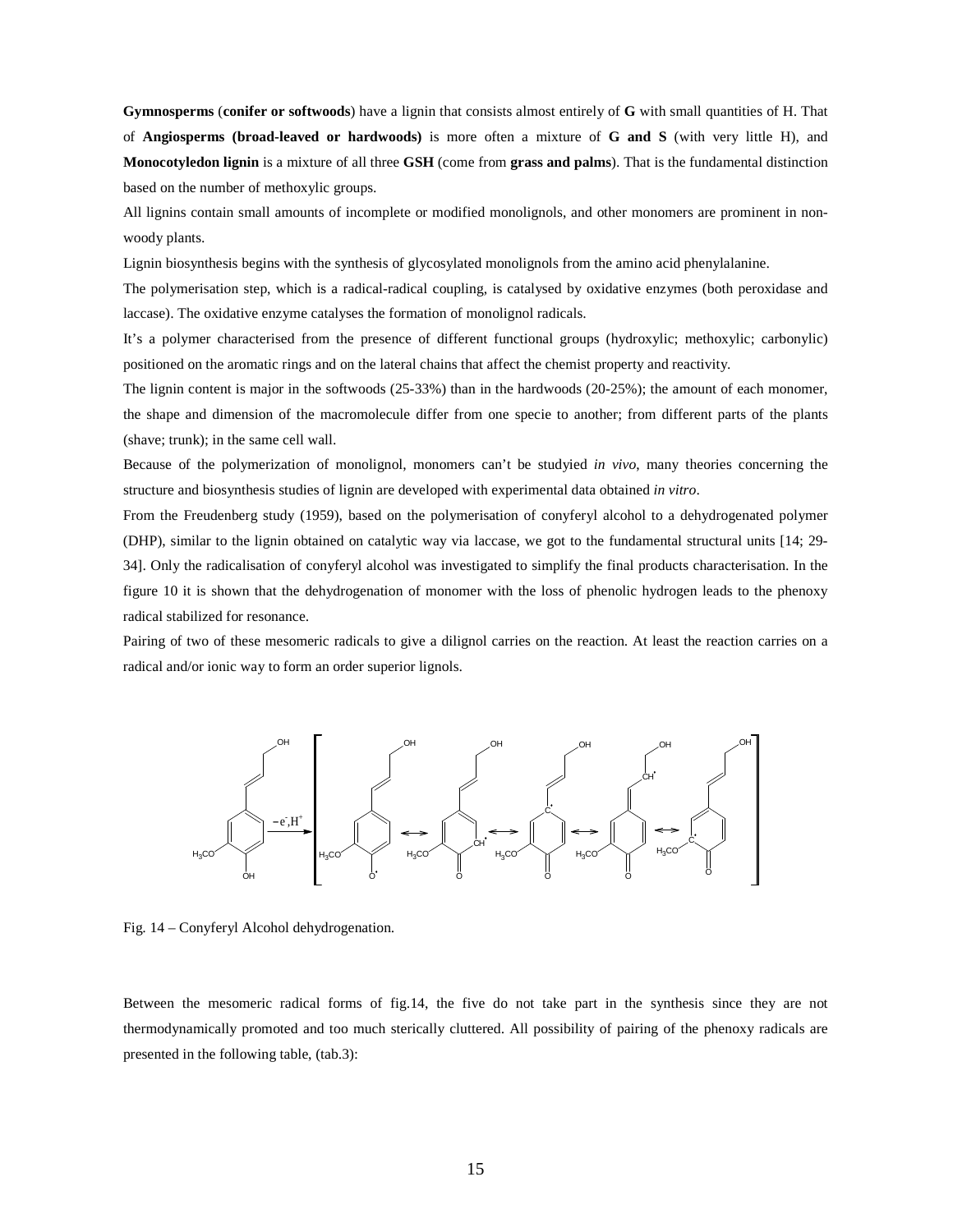**Gymnosperms** (**conifer or softwoods**) have a lignin that consists almost entirely of **G** with small quantities of H. That of **Angiosperms (broad-leaved or hardwoods)** is more often a mixture of **G and S** (with very little H), and **Monocotyledon lignin** is a mixture of all three **GSH** (come from **grass and palms**). That is the fundamental distinction based on the number of methoxylic groups.

All lignins contain small amounts of incomplete or modified monolignols, and other monomers are prominent in nonwoody plants.

Lignin biosynthesis begins with the synthesis of glycosylated monolignols from the amino acid phenylalanine.

The polymerisation step, which is a radical-radical coupling, is catalysed by oxidative enzymes (both peroxidase and laccase). The oxidative enzyme catalyses the formation of monolignol radicals.

It's a polymer characterised from the presence of different functional groups (hydroxylic; methoxylic; carbonylic) positioned on the aromatic rings and on the lateral chains that affect the chemist property and reactivity.

The lignin content is major in the softwoods (25-33%) than in the hardwoods (20-25%); the amount of each monomer, the shape and dimension of the macromolecule differ from one specie to another; from different parts of the plants (shave; trunk); in the same cell wall.

Because of the polymerization of monolignol, monomers can't be studyied *in vivo*, many theories concerning the structure and biosynthesis studies of lignin are developed with experimental data obtained *in vitro*.

From the Freudenberg study (1959), based on the polymerisation of conyferyl alcohol to a dehydrogenated polymer (DHP), similar to the lignin obtained on catalytic way via laccase, we got to the fundamental structural units [14; 29- 34]. Only the radicalisation of conyferyl alcohol was investigated to simplify the final products characterisation. In the figure 10 it is shown that the dehydrogenation of monomer with the loss of phenolic hydrogen leads to the phenoxy radical stabilized for resonance.

Pairing of two of these mesomeric radicals to give a dilignol carries on the reaction. At least the reaction carries on a radical and/or ionic way to form an order superior lignols.



Fig. 14 – Conyferyl Alcohol dehydrogenation.

Between the mesomeric radical forms of fig.14, the five do not take part in the synthesis since they are not thermodynamically promoted and too much sterically cluttered. All possibility of pairing of the phenoxy radicals are presented in the following table, (tab.3):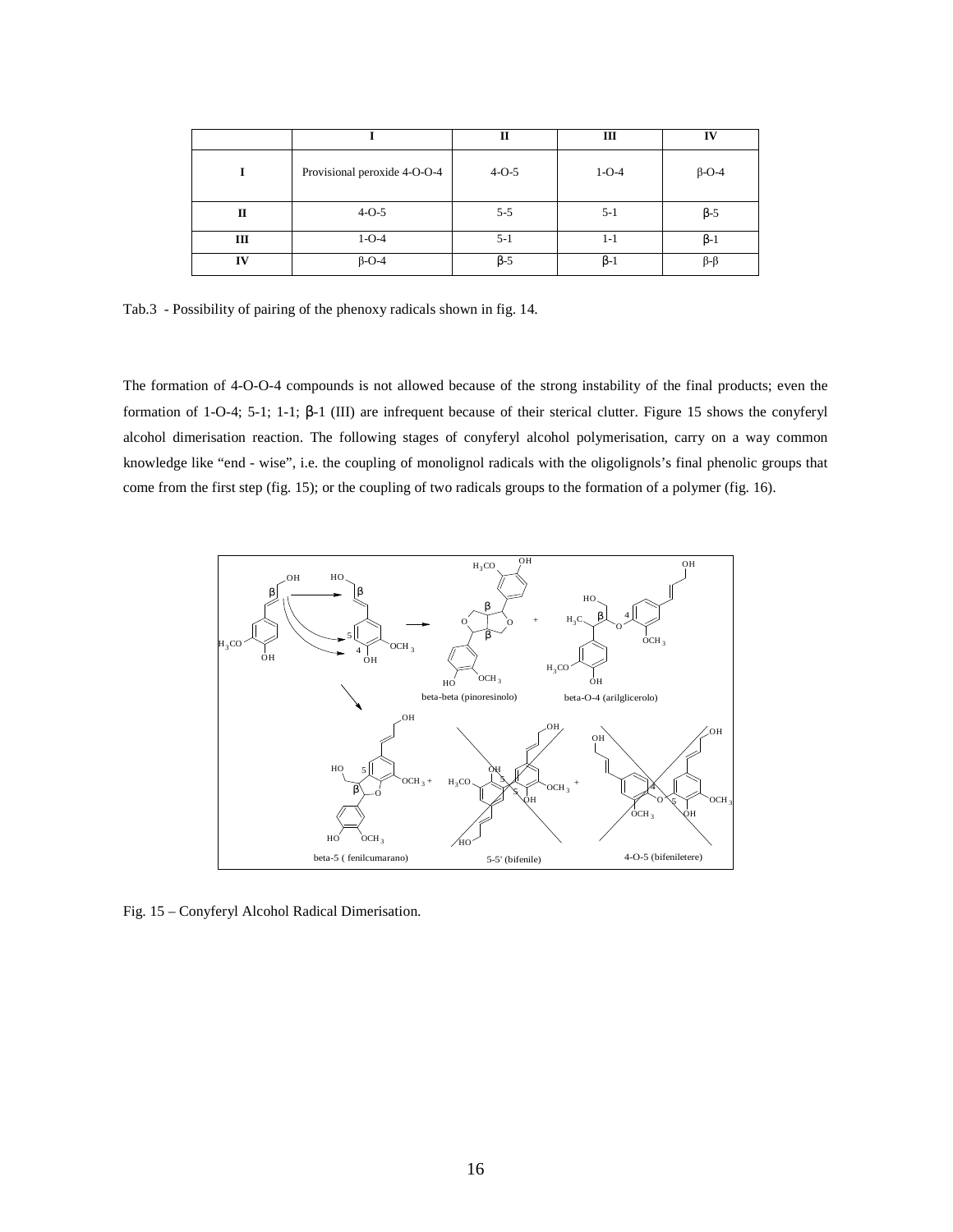|              |                              | П           | Ш           | IV            |
|--------------|------------------------------|-------------|-------------|---------------|
|              | Provisional peroxide 4-O-O-4 | $4 - 0 - 5$ | $1 - O - 4$ | $\beta$ -O-4  |
| $\mathbf{I}$ | $4 - 0 - 5$                  | $5 - 5$     | $5 - 1$     | $\beta - 5$   |
| Ш            | $1 - O - 4$                  | $5 - 1$     | $1 - 1$     | $\beta$ -1    |
| IV           | $\beta$ -O-4                 | $\beta - 5$ | $\beta-1$   | $\beta-\beta$ |

Tab.3 - Possibility of pairing of the phenoxy radicals shown in fig. 14.

The formation of 4-O-O-4 compounds is not allowed because of the strong instability of the final products; even the formation of 1-O-4; 5-1; 1-1; β-1 (III) are infrequent because of their sterical clutter. Figure 15 shows the conyferyl alcohol dimerisation reaction. The following stages of conyferyl alcohol polymerisation, carry on a way common knowledge like "end - wise", i.e. the coupling of monolignol radicals with the oligolignols's final phenolic groups that come from the first step (fig. 15); or the coupling of two radicals groups to the formation of a polymer (fig. 16).



Fig. 15 – Conyferyl Alcohol Radical Dimerisation.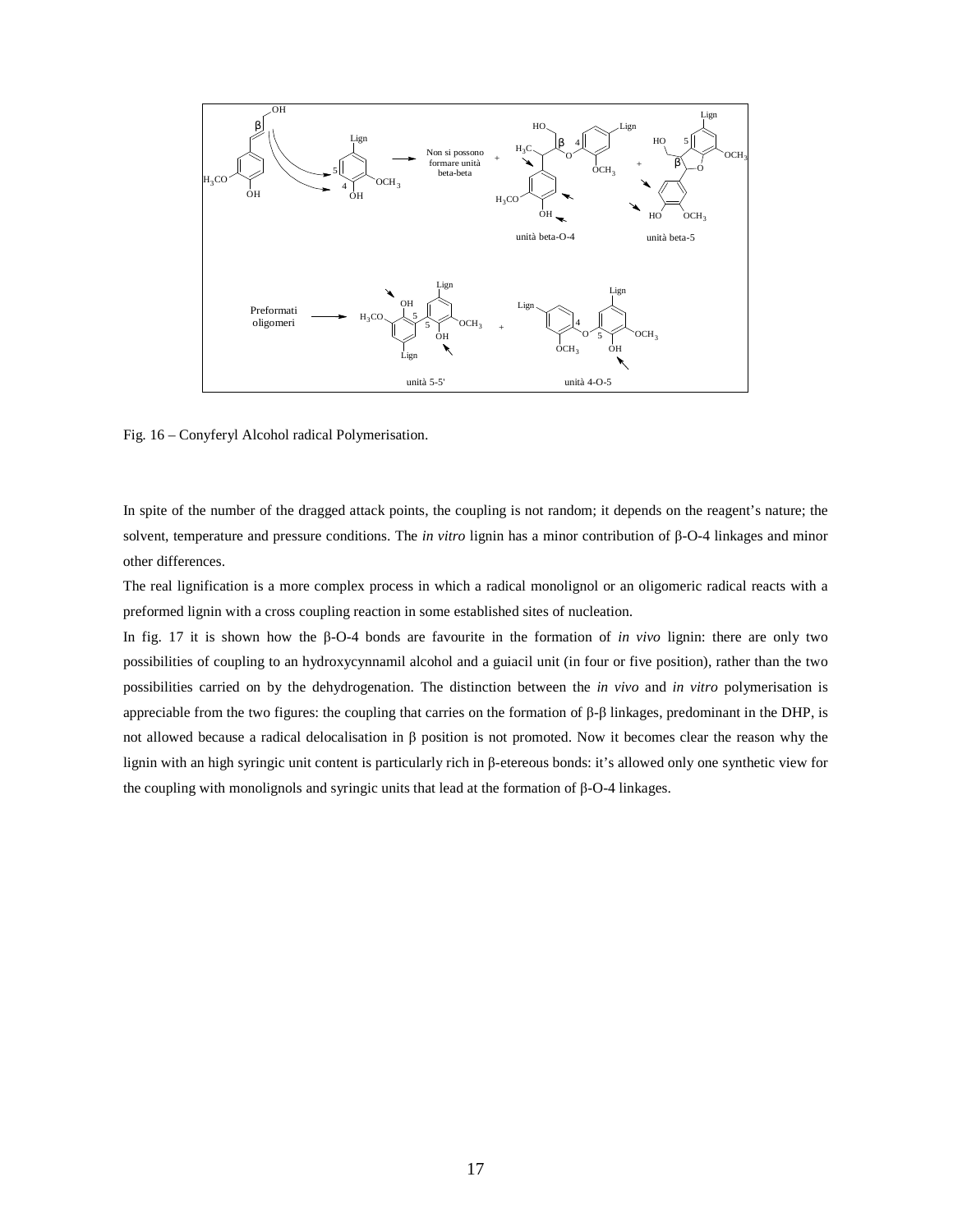

Fig. 16 – Conyferyl Alcohol radical Polymerisation.

In spite of the number of the dragged attack points, the coupling is not random; it depends on the reagent's nature; the solvent, temperature and pressure conditions. The *in vitro* lignin has a minor contribution of β-O-4 linkages and minor other differences.

The real lignification is a more complex process in which a radical monolignol or an oligomeric radical reacts with a preformed lignin with a cross coupling reaction in some established sites of nucleation.

In fig. 17 it is shown how the β-O-4 bonds are favourite in the formation of *in vivo* lignin: there are only two possibilities of coupling to an hydroxycynnamil alcohol and a guiacil unit (in four or five position), rather than the two possibilities carried on by the dehydrogenation. The distinction between the *in vivo* and *in vitro* polymerisation is appreciable from the two figures: the coupling that carries on the formation of β-β linkages, predominant in the DHP, is not allowed because a radical delocalisation in β position is not promoted. Now it becomes clear the reason why the lignin with an high syringic unit content is particularly rich in β-etereous bonds: it's allowed only one synthetic view for the coupling with monolignols and syringic units that lead at the formation of β-O-4 linkages.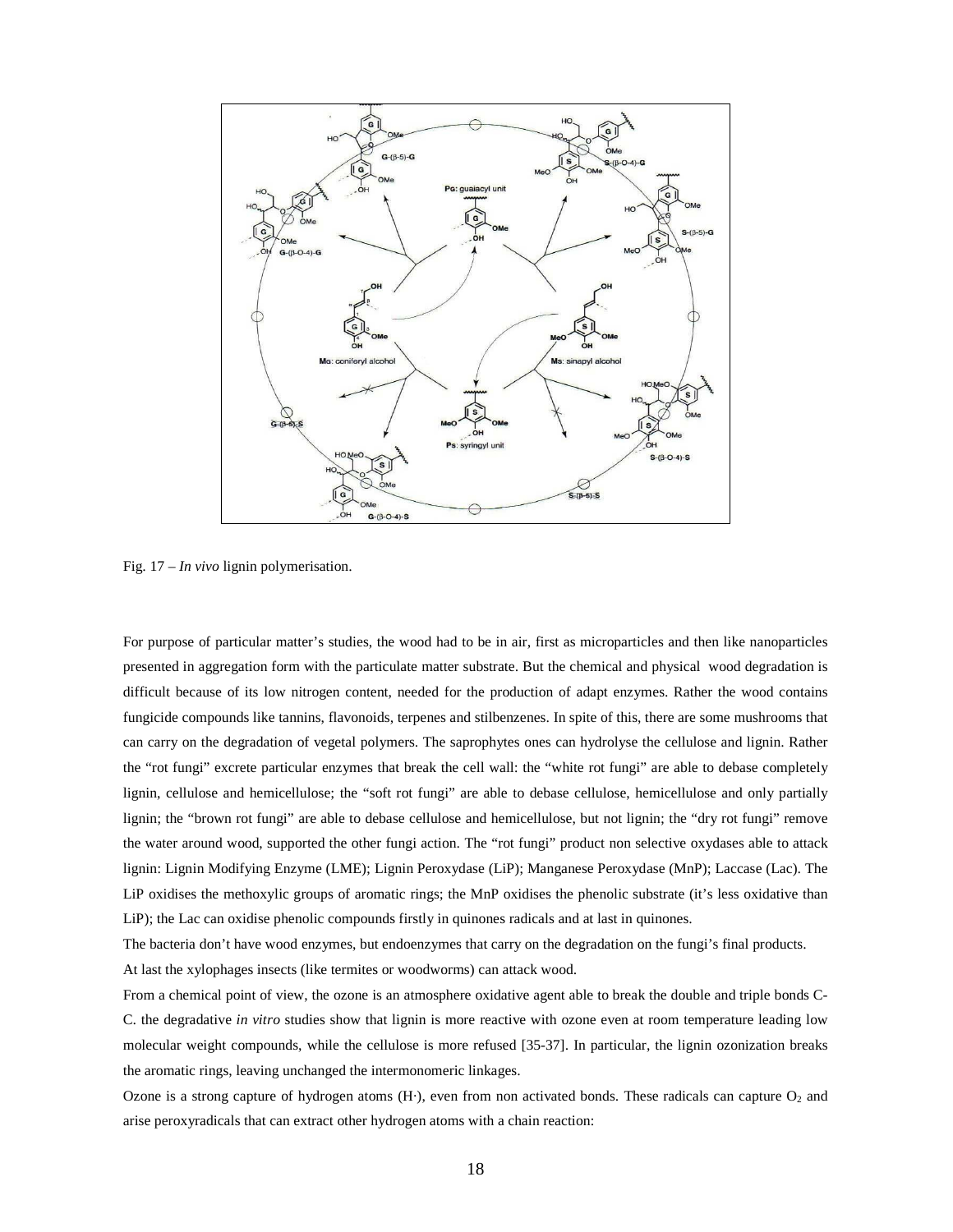

Fig. 17 – *In vivo* lignin polymerisation.

For purpose of particular matter's studies, the wood had to be in air, first as microparticles and then like nanoparticles presented in aggregation form with the particulate matter substrate. But the chemical and physical wood degradation is difficult because of its low nitrogen content, needed for the production of adapt enzymes. Rather the wood contains fungicide compounds like tannins, flavonoids, terpenes and stilbenzenes. In spite of this, there are some mushrooms that can carry on the degradation of vegetal polymers. The saprophytes ones can hydrolyse the cellulose and lignin. Rather the "rot fungi" excrete particular enzymes that break the cell wall: the "white rot fungi" are able to debase completely lignin, cellulose and hemicellulose; the "soft rot fungi" are able to debase cellulose, hemicellulose and only partially lignin; the "brown rot fungi" are able to debase cellulose and hemicellulose, but not lignin; the "dry rot fungi" remove the water around wood, supported the other fungi action. The "rot fungi" product non selective oxydases able to attack lignin: Lignin Modifying Enzyme (LME); Lignin Peroxydase (LiP); Manganese Peroxydase (MnP); Laccase (Lac). The LiP oxidises the methoxylic groups of aromatic rings; the MnP oxidises the phenolic substrate (it's less oxidative than LiP); the Lac can oxidise phenolic compounds firstly in quinones radicals and at last in quinones.

The bacteria don't have wood enzymes, but endoenzymes that carry on the degradation on the fungi's final products. At last the xylophages insects (like termites or woodworms) can attack wood.

From a chemical point of view, the ozone is an atmosphere oxidative agent able to break the double and triple bonds C-C. the degradative *in vitro* studies show that lignin is more reactive with ozone even at room temperature leading low molecular weight compounds, while the cellulose is more refused [35-37]. In particular, the lignin ozonization breaks the aromatic rings, leaving unchanged the intermonomeric linkages.

Ozone is a strong capture of hydrogen atoms  $(H)$ , even from non activated bonds. These radicals can capture  $O_2$  and arise peroxyradicals that can extract other hydrogen atoms with a chain reaction: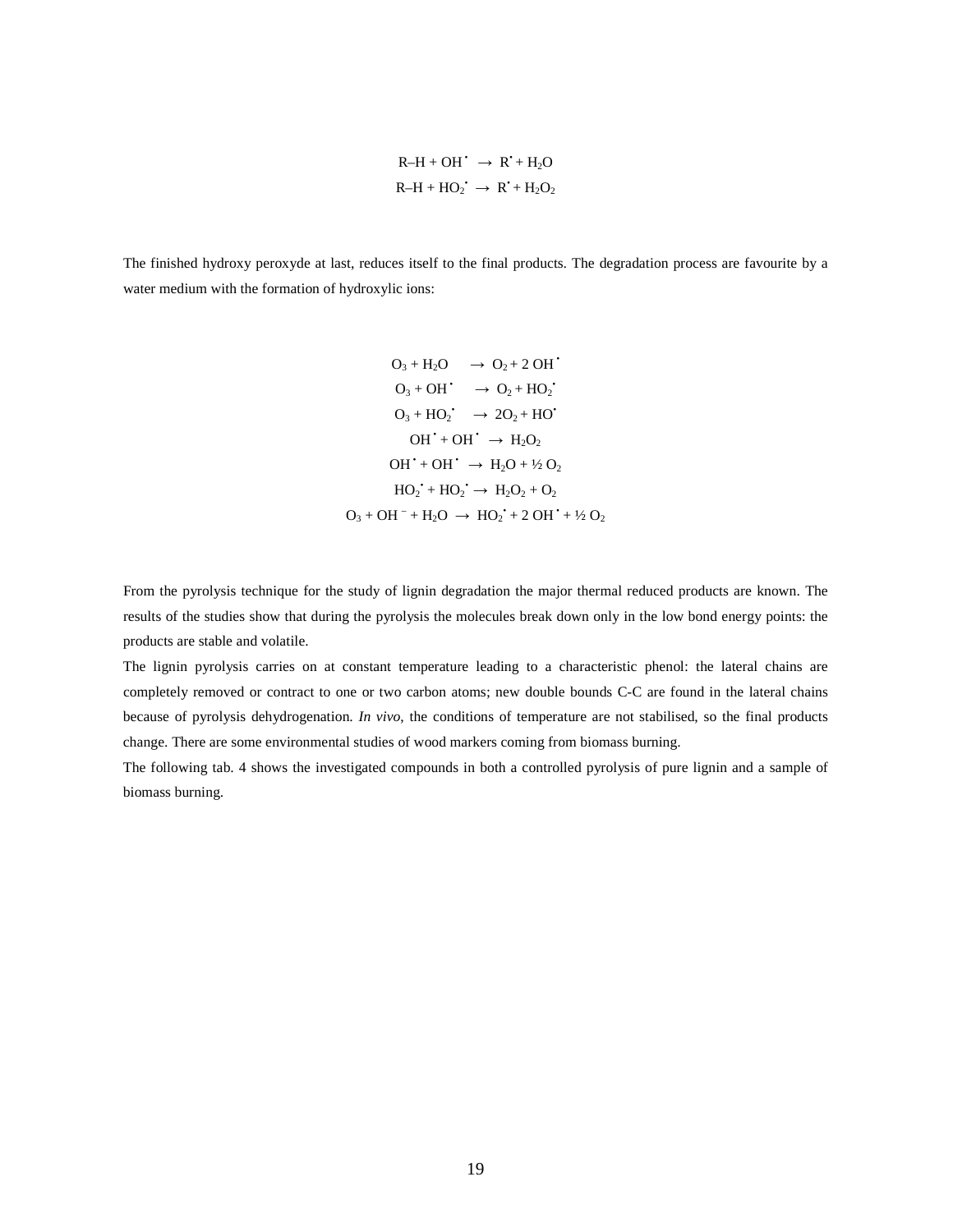$$
R-H + OH^{\bullet} \rightarrow R^{\bullet} + H_2O
$$
  

$$
R-H + HO_2^{\bullet} \rightarrow R^{\bullet} + H_2O_2
$$

The finished hydroxy peroxyde at last, reduces itself to the final products. The degradation process are favourite by a water medium with the formation of hydroxylic ions:

$$
O_3 + H_2O \rightarrow O_2 + 2 \text{ OH}^*
$$
  
\n
$$
O_3 + OH^* \rightarrow O_2 + HO_2^*
$$
  
\n
$$
O_3 + HO_2^* \rightarrow 2O_2 + HO^*
$$
  
\n
$$
OH^* + OH^* \rightarrow H_2O_2
$$
  
\n
$$
OH^* + OH^* \rightarrow H_2O + V_2O_2
$$
  
\n
$$
HO_2^* + HO_2^* \rightarrow H_2O_2 + O_2
$$
  
\n
$$
O_3 + OH^- + H_2O \rightarrow HO_2^* + 2 \text{ OH}^* + V_2O_2
$$

From the pyrolysis technique for the study of lignin degradation the major thermal reduced products are known. The results of the studies show that during the pyrolysis the molecules break down only in the low bond energy points: the products are stable and volatile.

The lignin pyrolysis carries on at constant temperature leading to a characteristic phenol: the lateral chains are completely removed or contract to one or two carbon atoms; new double bounds C-C are found in the lateral chains because of pyrolysis dehydrogenation. *In vivo*, the conditions of temperature are not stabilised, so the final products change. There are some environmental studies of wood markers coming from biomass burning.

The following tab. 4 shows the investigated compounds in both a controlled pyrolysis of pure lignin and a sample of biomass burning.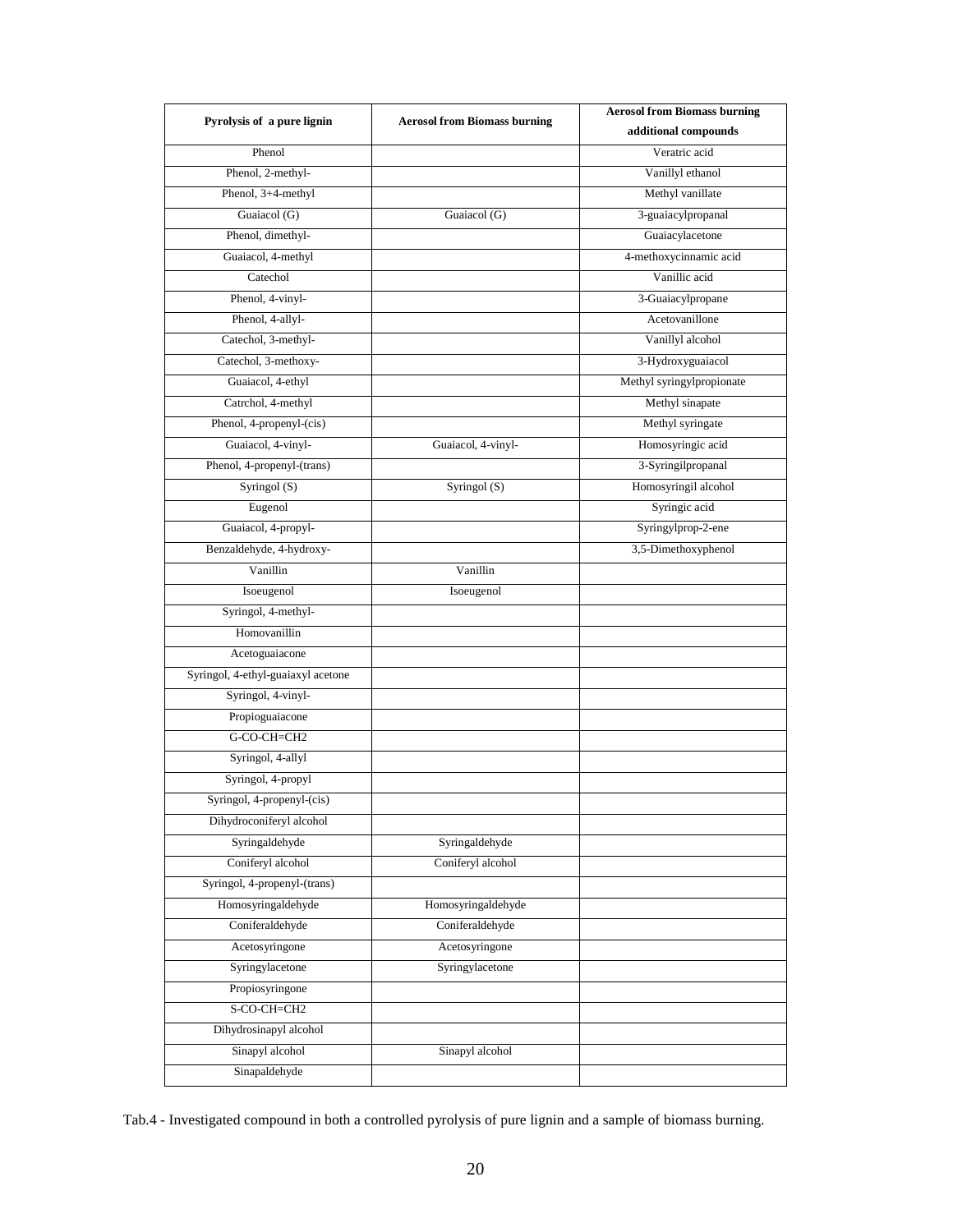| Pyrolysis of a pure lignin         | <b>Aerosol from Biomass burning</b> | <b>Aerosol from Biomass burning</b> |
|------------------------------------|-------------------------------------|-------------------------------------|
|                                    |                                     | additional compounds                |
| Phenol                             |                                     | Veratric acid                       |
| Phenol, 2-methyl-                  |                                     | Vanillyl ethanol                    |
| Phenol, 3+4-methyl                 |                                     | Methyl vanillate                    |
| Guaiacol (G)                       | Guaiacol (G)                        | 3-guaiacylpropanal                  |
| Phenol, dimethyl-                  |                                     | Guaiacylacetone                     |
| Guaiacol, 4-methyl                 |                                     | 4-methoxycinnamic acid              |
| Catechol                           |                                     | Vanillic acid                       |
| Phenol, 4-vinyl-                   |                                     | 3-Guaiacylpropane                   |
| Phenol, 4-allyl-                   |                                     | Acetovanillone                      |
| Catechol, 3-methyl-                |                                     | Vanillyl alcohol                    |
| Catechol, 3-methoxy-               |                                     | 3-Hydroxyguaiacol                   |
| Guaiacol, 4-ethyl                  |                                     | Methyl syringylpropionate           |
| Catrchol, 4-methyl                 |                                     | Methyl sinapate                     |
| Phenol, 4-propenyl-(cis)           |                                     | Methyl syringate                    |
| Guaiacol, 4-vinyl-                 | Guaiacol, 4-vinyl-                  | Homosyringic acid                   |
| Phenol, 4-propenyl-(trans)         |                                     | 3-Syringilpropanal                  |
| Syringol (S)                       | Syringol (S)                        | Homosyringil alcohol                |
| Eugenol                            |                                     | Syringic acid                       |
| Guaiacol, 4-propyl-                |                                     | Syringylprop-2-ene                  |
| Benzaldehyde, 4-hydroxy-           |                                     | 3,5-Dimethoxyphenol                 |
| Vanillin                           | Vanillin                            |                                     |
| Isoeugenol                         | Isoeugenol                          |                                     |
| Syringol, 4-methyl-                |                                     |                                     |
| Homovanillin                       |                                     |                                     |
| Acetoguaiacone                     |                                     |                                     |
| Syringol, 4-ethyl-guaiaxyl acetone |                                     |                                     |
| Syringol, 4-vinyl-                 |                                     |                                     |
| Propioguaiacone                    |                                     |                                     |
| G-CO-CH=CH2                        |                                     |                                     |
| Syringol, 4-allyl                  |                                     |                                     |
| Syringol, 4-propyl                 |                                     |                                     |
| Syringol, 4-propenyl-(cis)         |                                     |                                     |
| Dihydroconiferyl alcohol           |                                     |                                     |
| Syringaldehyde                     | Syringaldehyde                      |                                     |
| Coniferyl alcohol                  | Coniferyl alcohol                   |                                     |
| Syringol, 4-propenyl-(trans)       |                                     |                                     |
| Homosyringaldehyde                 | Homosyringaldehyde                  |                                     |
| Coniferaldehyde                    | Coniferaldehyde                     |                                     |
| Acetosyringone                     | Acetosyringone                      |                                     |
| Syringylacetone                    | Syringylacetone                     |                                     |
| Propiosyringone                    |                                     |                                     |
| S-CO-CH=CH2                        |                                     |                                     |
| Dihydrosinapyl alcohol             |                                     |                                     |
| Sinapyl alcohol                    | Sinapyl alcohol                     |                                     |
| Sinapaldehyde                      |                                     |                                     |

Tab.4 - Investigated compound in both a controlled pyrolysis of pure lignin and a sample of biomass burning.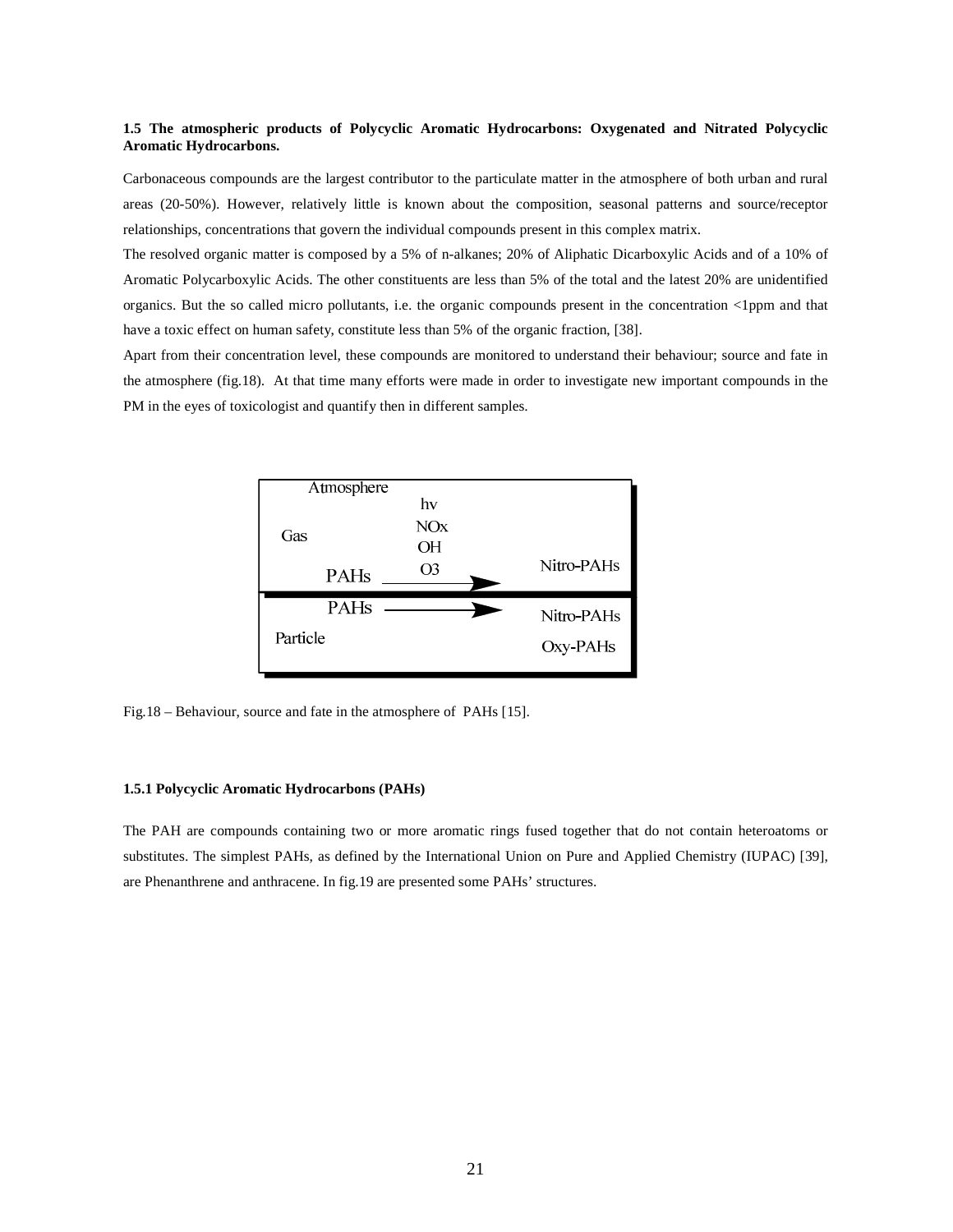# **1.5 The atmospheric products of Polycyclic Aromatic Hydrocarbons: Oxygenated and Nitrated Polycyclic Aromatic Hydrocarbons.**

Carbonaceous compounds are the largest contributor to the particulate matter in the atmosphere of both urban and rural areas (20-50%). However, relatively little is known about the composition, seasonal patterns and source/receptor relationships, concentrations that govern the individual compounds present in this complex matrix.

The resolved organic matter is composed by a 5% of n-alkanes; 20% of Aliphatic Dicarboxylic Acids and of a 10% of Aromatic Polycarboxylic Acids. The other constituents are less than 5% of the total and the latest 20% are unidentified organics. But the so called micro pollutants, i.e. the organic compounds present in the concentration <1ppm and that have a toxic effect on human safety, constitute less than 5% of the organic fraction, [38].

Apart from their concentration level, these compounds are monitored to understand their behaviour; source and fate in the atmosphere (fig.18). At that time many efforts were made in order to investigate new important compounds in the PM in the eyes of toxicologist and quantify then in different samples.



Fig.18 – Behaviour, source and fate in the atmosphere of PAHs [15].

### **1.5.1 Polycyclic Aromatic Hydrocarbons (PAHs)**

The PAH are compounds containing two or more aromatic rings fused together that do not contain heteroatoms or substitutes. The simplest PAHs, as defined by the International Union on Pure and Applied Chemistry (IUPAC) [39], are Phenanthrene and anthracene. In fig.19 are presented some PAHs' structures.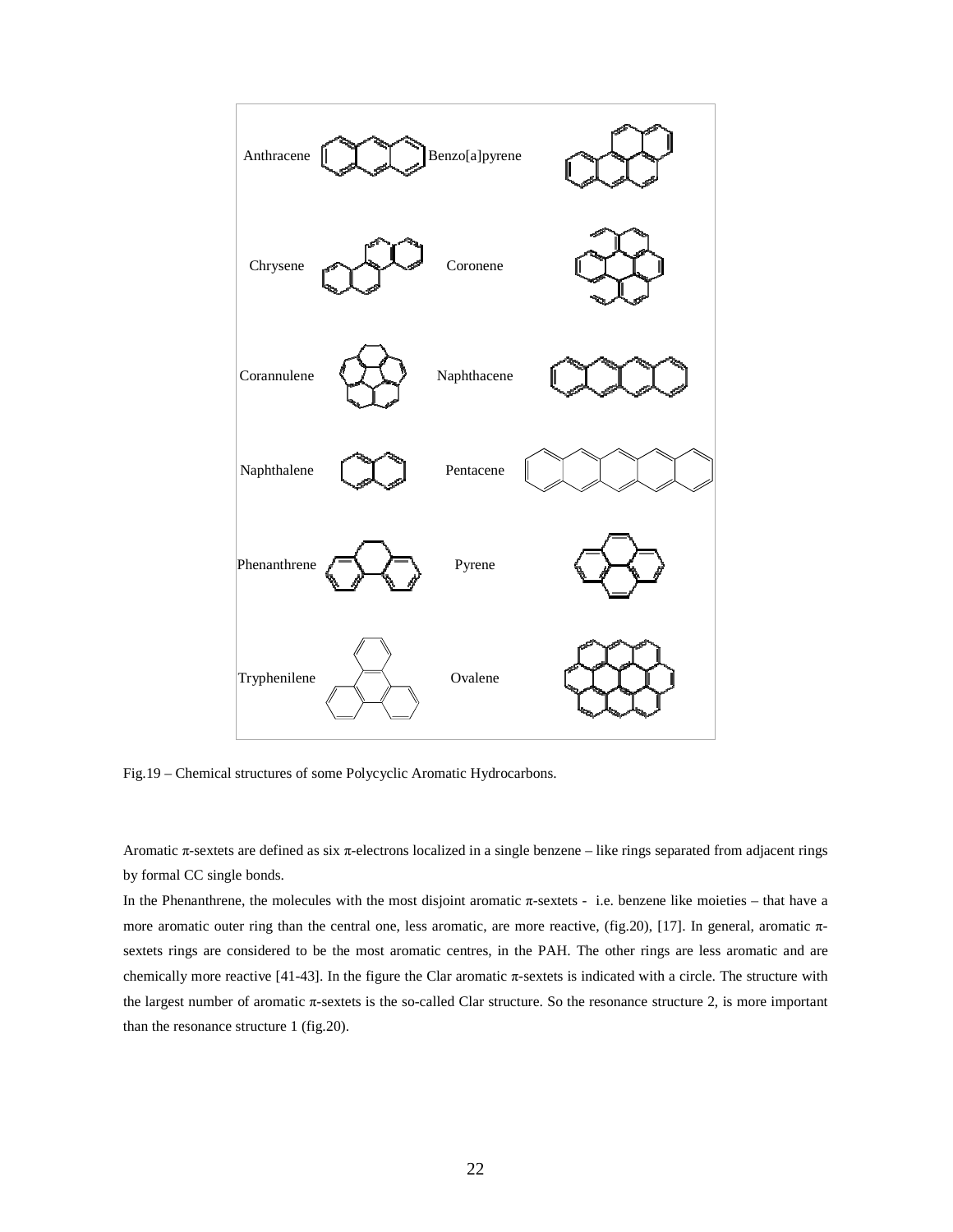

Fig.19 – Chemical structures of some Polycyclic Aromatic Hydrocarbons.

Aromatic π-sextets are defined as six π-electrons localized in a single benzene – like rings separated from adjacent rings by formal CC single bonds.

In the Phenanthrene, the molecules with the most disjoint aromatic  $\pi$ -sextets - i.e. benzene like moieties – that have a more aromatic outer ring than the central one, less aromatic, are more reactive, (fig.20), [17]. In general, aromatic  $\pi$ sextets rings are considered to be the most aromatic centres, in the PAH. The other rings are less aromatic and are chemically more reactive [41-43]. In the figure the Clar aromatic π-sextets is indicated with a circle. The structure with the largest number of aromatic π-sextets is the so-called Clar structure. So the resonance structure 2, is more important than the resonance structure 1 (fig.20).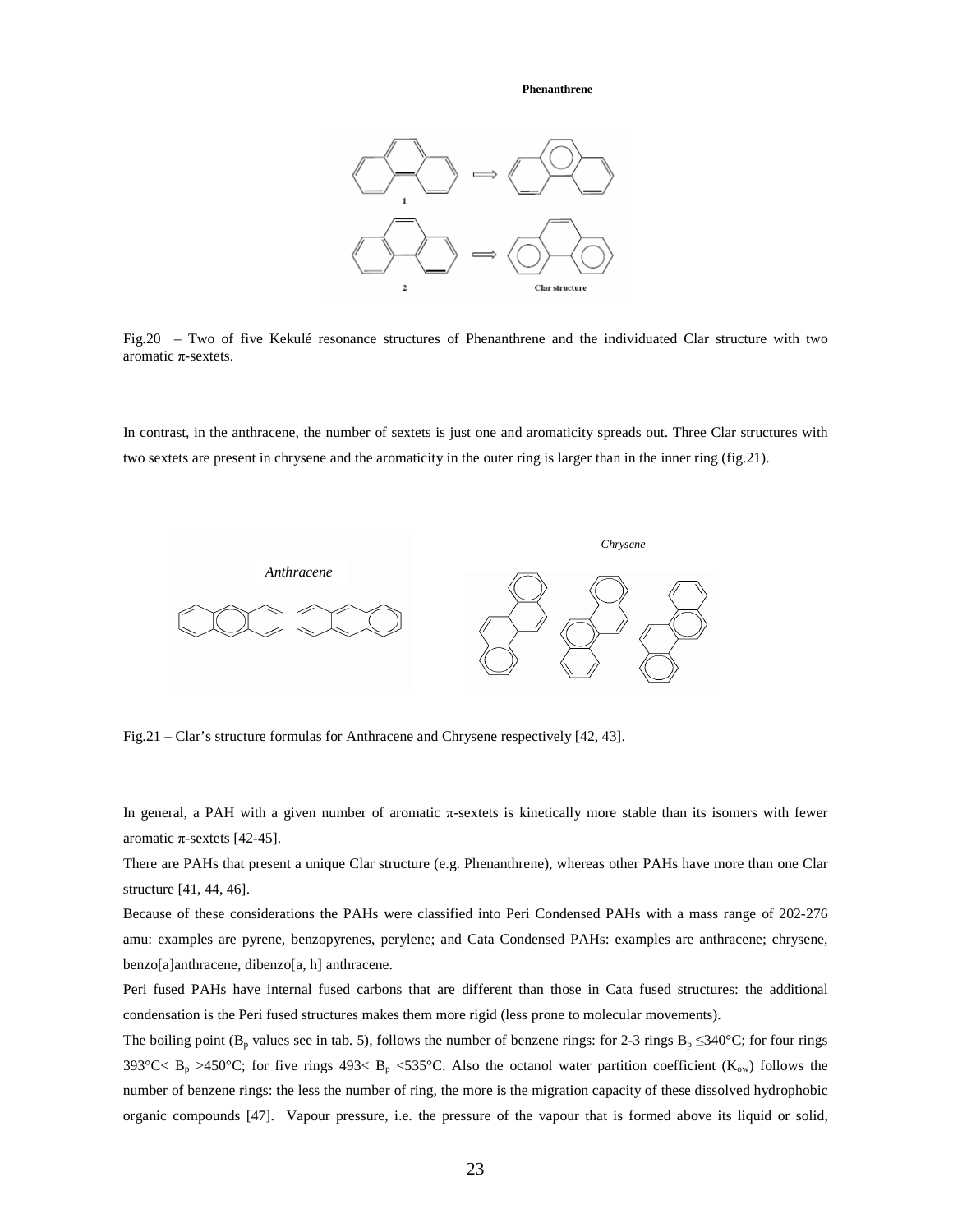**Phenanthrene**



Fig.20 – Two of five Kekulé resonance structures of Phenanthrene and the individuated Clar structure with two aromatic π-sextets.

In contrast, in the anthracene, the number of sextets is just one and aromaticity spreads out. Three Clar structures with two sextets are present in chrysene and the aromaticity in the outer ring is larger than in the inner ring (fig.21).



Fig.21 – Clar's structure formulas for Anthracene and Chrysene respectively [42, 43].

In general, a PAH with a given number of aromatic  $\pi$ -sextets is kinetically more stable than its isomers with fewer aromatic π-sextets [42-45].

There are PAHs that present a unique Clar structure (e.g. Phenanthrene), whereas other PAHs have more than one Clar structure [41, 44, 46].

Because of these considerations the PAHs were classified into Peri Condensed PAHs with a mass range of 202-276 amu: examples are pyrene, benzopyrenes, perylene; and Cata Condensed PAHs: examples are anthracene; chrysene, benzo[a]anthracene, dibenzo[a, h] anthracene.

Peri fused PAHs have internal fused carbons that are different than those in Cata fused structures: the additional condensation is the Peri fused structures makes them more rigid (less prone to molecular movements).

The boiling point (B<sub>p</sub> values see in tab. 5), follows the number of benzene rings: for 2-3 rings B<sub>p</sub> ≤340°C; for four rings 393°C<  $B_p > 450$ °C; for five rings 493<  $B_p < 535$ °C. Also the octanol water partition coefficient (K<sub>ow</sub>) follows the number of benzene rings: the less the number of ring, the more is the migration capacity of these dissolved hydrophobic organic compounds [47]. Vapour pressure, i.e. the pressure of the vapour that is formed above its liquid or solid,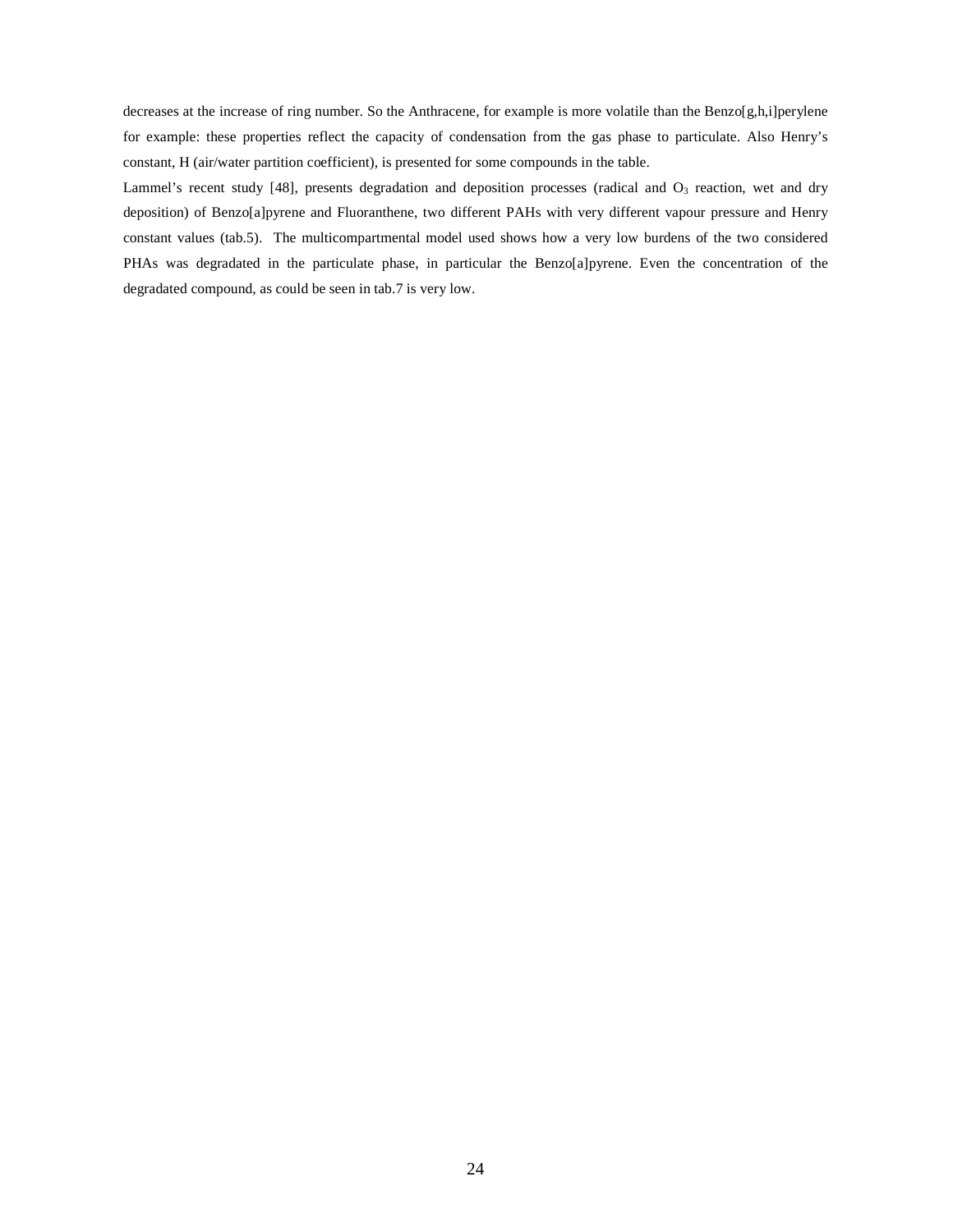decreases at the increase of ring number. So the Anthracene, for example is more volatile than the Benzo[g,h,i]perylene for example: these properties reflect the capacity of condensation from the gas phase to particulate. Also Henry's constant, H (air/water partition coefficient), is presented for some compounds in the table.

Lammel's recent study [48], presents degradation and deposition processes (radical and O<sub>3</sub> reaction, wet and dry deposition) of Benzo[a]pyrene and Fluoranthene, two different PAHs with very different vapour pressure and Henry constant values (tab.5). The multicompartmental model used shows how a very low burdens of the two considered PHAs was degradated in the particulate phase, in particular the Benzo[a]pyrene. Even the concentration of the degradated compound, as could be seen in tab.7 is very low.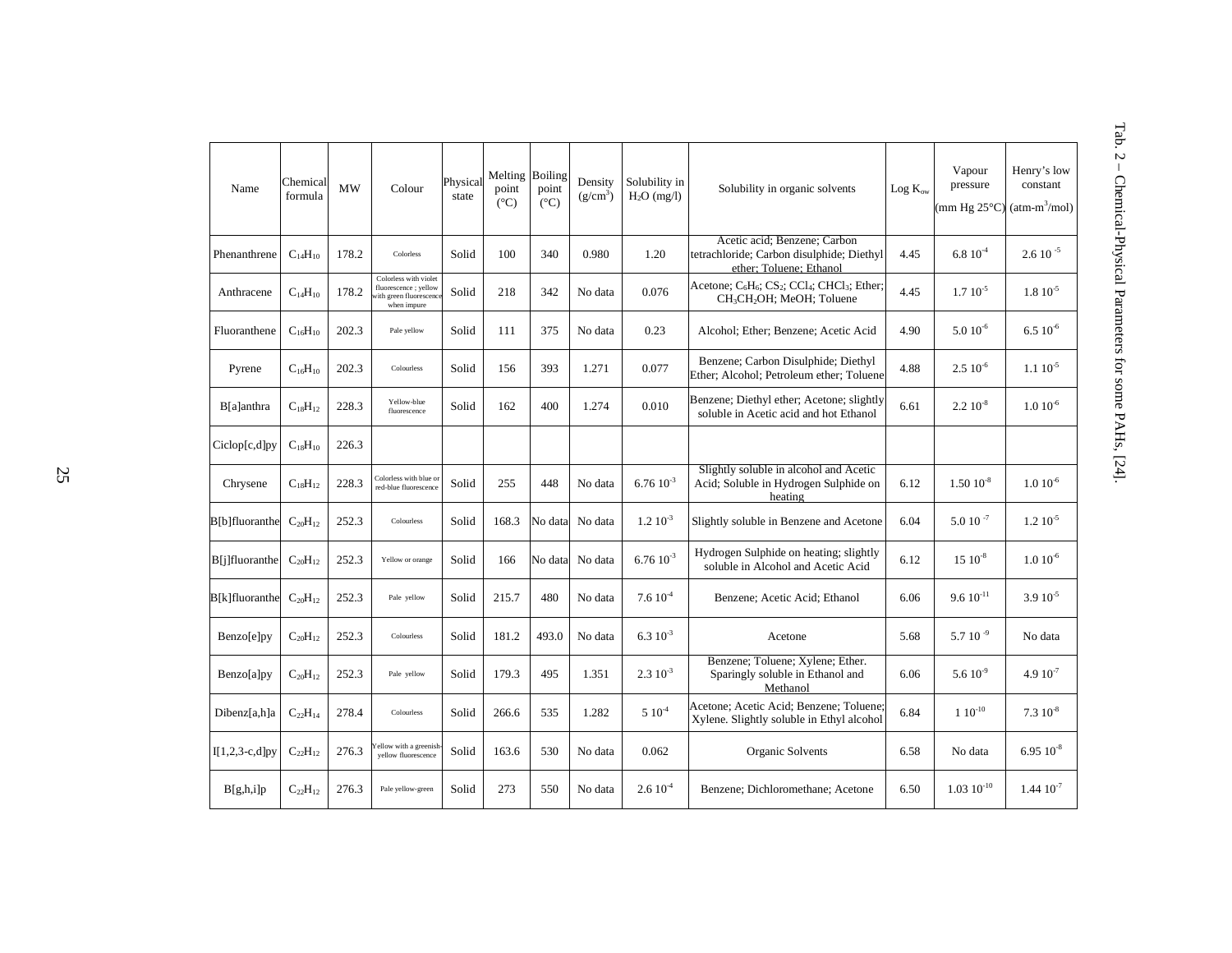| Name             | Chemical<br>formula | <b>MW</b> | Colour                                                                                  | Physical<br>state | Melting Boiling<br>point<br>$(^{\circ}C)$ | point<br>$(^{\circ}C)$ | Density<br>$(g/cm^3)$ | Solubility in<br>$H2O$ (mg/l) | Solubility in organic solvents                                                                                                                                | Log K <sub>ow</sub> | Vapour<br>pressure<br>$mm$ Hg 25 $°C$ ) | Henry's low<br>constant<br>$(\text{atm-m}^3/\text{mol})$ |
|------------------|---------------------|-----------|-----------------------------------------------------------------------------------------|-------------------|-------------------------------------------|------------------------|-----------------------|-------------------------------|---------------------------------------------------------------------------------------------------------------------------------------------------------------|---------------------|-----------------------------------------|----------------------------------------------------------|
| Phenanthrene     | $C_{14}H_{10}$      | 178.2     | Colorless                                                                               | Solid             | 100                                       | 340                    | 0.980                 | 1.20                          | Acetic acid: Benzene: Carbon<br>tetrachloride; Carbon disulphide; Diethyl<br>ether; Toluene; Ethanol                                                          | 4.45                | $6.810^{4}$                             | $2.6 10^{-5}$                                            |
| Anthracene       | $C_{14}H_{10}$      | 178.2     | Colorless with violet<br>fluorescence ; yellow<br>vith green fluorescend<br>when impure | Solid             | 218                                       | 342                    | No data               | 0.076                         | Acetone; C <sub>6</sub> H <sub>6</sub> ; CS <sub>2</sub> ; CCl <sub>4</sub> ; CHCl <sub>3</sub> ; Ether;<br>CH <sub>3</sub> CH <sub>2</sub> OH; MeOH; Toluene | 4.45                | $1.7~10^{-5}$                           | $1.8 \; 10^{-5}$                                         |
| Fluoranthene     | $C_{16}H_{10}$      | 202.3     | Pale yellow                                                                             | Solid             | 111                                       | 375                    | No data               | 0.23                          | Alcohol; Ether; Benzene; Acetic Acid                                                                                                                          | 4.90                | $5.010^{-6}$                            | $6.510^{-6}$                                             |
| Pyrene           | $C_{16}H_{10}$      | 202.3     | Colourless                                                                              | Solid             | 156                                       | 393                    | 1.271                 | 0.077                         | Benzene; Carbon Disulphide; Diethyl<br>Ether: Alcohol: Petroleum ether: Toluene                                                                               | 4.88                | $2.510^{-6}$                            | $1.110^{-5}$                                             |
| B[a]anthra       | $C_{18}H_{12}$      | 228.3     | Yellow-blue<br>fluorescence                                                             | Solid             | 162                                       | 400                    | 1.274                 | 0.010                         | Benzene; Diethyl ether; Acetone; slightly<br>soluble in Acetic acid and hot Ethanol                                                                           | 6.61                | $2.210^{-8}$                            | $1.0\;10^{ \text{-}6}$                                   |
| Ciclop[c,d]py    | $C_{18}H_{10}$      | 226.3     |                                                                                         |                   |                                           |                        |                       |                               |                                                                                                                                                               |                     |                                         |                                                          |
| Chrysene         | $C_{18}H_{12}$      | 228.3     | Colorless with blue or<br>red-blue fluorescence                                         | Solid             | 255                                       | 448                    | No data               | $6.7610^{-3}$                 | Slightly soluble in alcohol and Acetic<br>Acid; Soluble in Hydrogen Sulphide on<br>heating                                                                    | 6.12                | $1.50\ 10^{-8}$                         | $1.0 10^{-6}$                                            |
| B[b]fluoranthe   | $C_{20}H_{12}$      | 252.3     | Colourless                                                                              | Solid             | 168.3                                     | No data                | No data               | $1.2 \times 10^{-3}$          | Slightly soluble in Benzene and Acetone                                                                                                                       | 6.04                | $5.0 10^{-7}$                           | $1.2 10^{-5}$                                            |
| B[j]fluoranthe   | $C_{20}H_{12}$      | 252.3     | Yellow or orange                                                                        | Solid             | 166                                       | No data                | No data               | $6.76\;10^{‐3}$               | Hydrogen Sulphide on heating; slightly<br>soluble in Alcohol and Acetic Acid                                                                                  | 6.12                | $15 \; 10^{-8}$                         | $1.0 10^{-6}$                                            |
| B[k]fluoranthe   | $C_{20}H_{12}$      | 252.3     | Pale yellow                                                                             | Solid             | 215.7                                     | 480                    | No data               | 7.610 <sup>4</sup>            | Benzene; Acetic Acid; Ethanol                                                                                                                                 | 6.06                | $9.6 10^{-11}$                          | $3.910^{-5}$                                             |
| Benzo[e]py       | $C_{20}H_{12}$      | 252.3     | Colourless                                                                              | Solid             | 181.2                                     | 493.0                  | No data               | $6.310^{-3}$                  | Acetone                                                                                                                                                       | 5.68                | 5.7 10 $^{-9}$                          | No data                                                  |
| Benzo[a]py       | $C_{20}H_{12}$      | 252.3     | Pale yellow                                                                             | Solid             | 179.3                                     | 495                    | 1.351                 | $2.310^{-3}$                  | Benzene; Toluene; Xylene; Ether.<br>Sparingly soluble in Ethanol and<br>Methanol                                                                              | 6.06                | $5.610^{-9}$                            | $4.910^{-7}$                                             |
| Dibenz[a,h]a     | $C_{22}H_{14}$      | 278.4     | Colourless                                                                              | Solid             | 266.6                                     | 535                    | 1.282                 | $5\;10^4$                     | Acetone; Acetic Acid; Benzene; Toluene;<br>Xylene. Slightly soluble in Ethyl alcohol                                                                          | 6.84                | $1.10^{-10}$                            | $7.310^{-8}$                                             |
| $I[1,2,3-c,d]py$ | $C_{22}H_{12}$      | 276.3     | ellow with a greenish<br>vellow fluorescence                                            | Solid             | 163.6                                     | 530                    | No data               | 0.062                         | Organic Solvents                                                                                                                                              | 6.58                | No data                                 | $6.9510^{-8}$                                            |
| B[g,h,i]p        | $C_{22}H_{12}$      | 276.3     | Pale yellow-green                                                                       | Solid             | 273                                       | 550                    | No data               | 2.610 <sup>4</sup>            | Benzene; Dichloromethane; Acetone                                                                                                                             | 6.50                | $1.03\;10^{ \text{-}10}$                | $1.44~10^{-7}$                                           |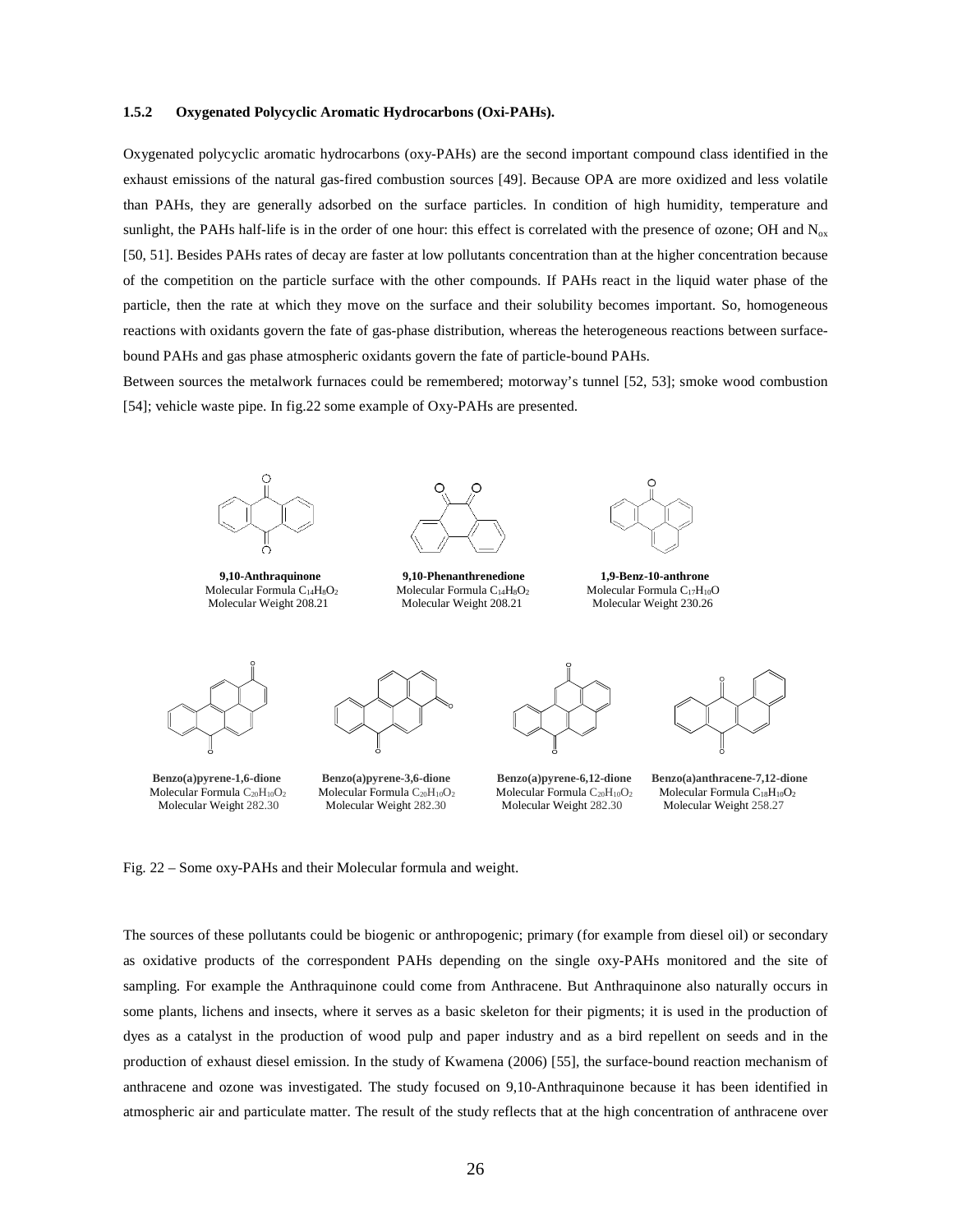## **1.5.2 Oxygenated Polycyclic Aromatic Hydrocarbons (Oxi-PAHs).**

Oxygenated polycyclic aromatic hydrocarbons (oxy-PAHs) are the second important compound class identified in the exhaust emissions of the natural gas-fired combustion sources [49]. Because OPA are more oxidized and less volatile than PAHs, they are generally adsorbed on the surface particles. In condition of high humidity, temperature and sunlight, the PAHs half-life is in the order of one hour: this effect is correlated with the presence of ozone; OH and  $N_{ox}$ [50, 51]. Besides PAHs rates of decay are faster at low pollutants concentration than at the higher concentration because of the competition on the particle surface with the other compounds. If PAHs react in the liquid water phase of the particle, then the rate at which they move on the surface and their solubility becomes important. So, homogeneous reactions with oxidants govern the fate of gas-phase distribution, whereas the heterogeneous reactions between surfacebound PAHs and gas phase atmospheric oxidants govern the fate of particle-bound PAHs.

Between sources the metalwork furnaces could be remembered; motorway's tunnel [52, 53]; smoke wood combustion [54]; vehicle waste pipe. In fig.22 some example of Oxy-PAHs are presented.



Molecular Formula C<sub>14</sub>H<sub>8</sub>O<sub>2</sub> Molecular Formula C<sub>14</sub>H<sub>10</sub>O<sub>2</sub> Molecular Weight 208.21 Molecular Weight 208.21 Molecular Weight 208.21 Molecular Weight 208.21 Molecular Weight 208.21 Molecular Weight 208.21 Molecular We



 **9,10-Anthraquinone 9,10-Phenanthrenedione 1,9-Benz-10-anthrone** Molecular Weight 208.21 Molecular Weight 208.21 Molecular Weight 203.26







Molecular Weight 282.30



 **Benzo(a)pyrene-1,6-dione Benzo(a)pyrene-3,6-dione Benzo(a)pyrene-6,12-dione Benzo(a)anthracene-7,12-dione** Molecular Formula C<sub>20</sub>H<sub>10</sub>O<sub>2</sub> Molecular Formula C<sub>20</sub>H<sub>10</sub>O<sub>2</sub> Molecular Tormula C<sub>18</sub>H<sub>10</sub>O<sub>2</sub> Molecular Weight 282.30 Molecular Weight 282.30 Molecular Weight 258.27

Fig. 22 – Some oxy-PAHs and their Molecular formula and weight.

The sources of these pollutants could be biogenic or anthropogenic; primary (for example from diesel oil) or secondary as oxidative products of the correspondent PAHs depending on the single oxy-PAHs monitored and the site of sampling. For example the Anthraquinone could come from Anthracene. But Anthraquinone also naturally occurs in some plants, lichens and insects, where it serves as a basic skeleton for their pigments; it is used in the production of dyes as a catalyst in the production of wood pulp and paper industry and as a bird repellent on seeds and in the production of exhaust diesel emission. In the study of Kwamena (2006) [55], the surface-bound reaction mechanism of anthracene and ozone was investigated. The study focused on 9,10-Anthraquinone because it has been identified in atmospheric air and particulate matter. The result of the study reflects that at the high concentration of anthracene over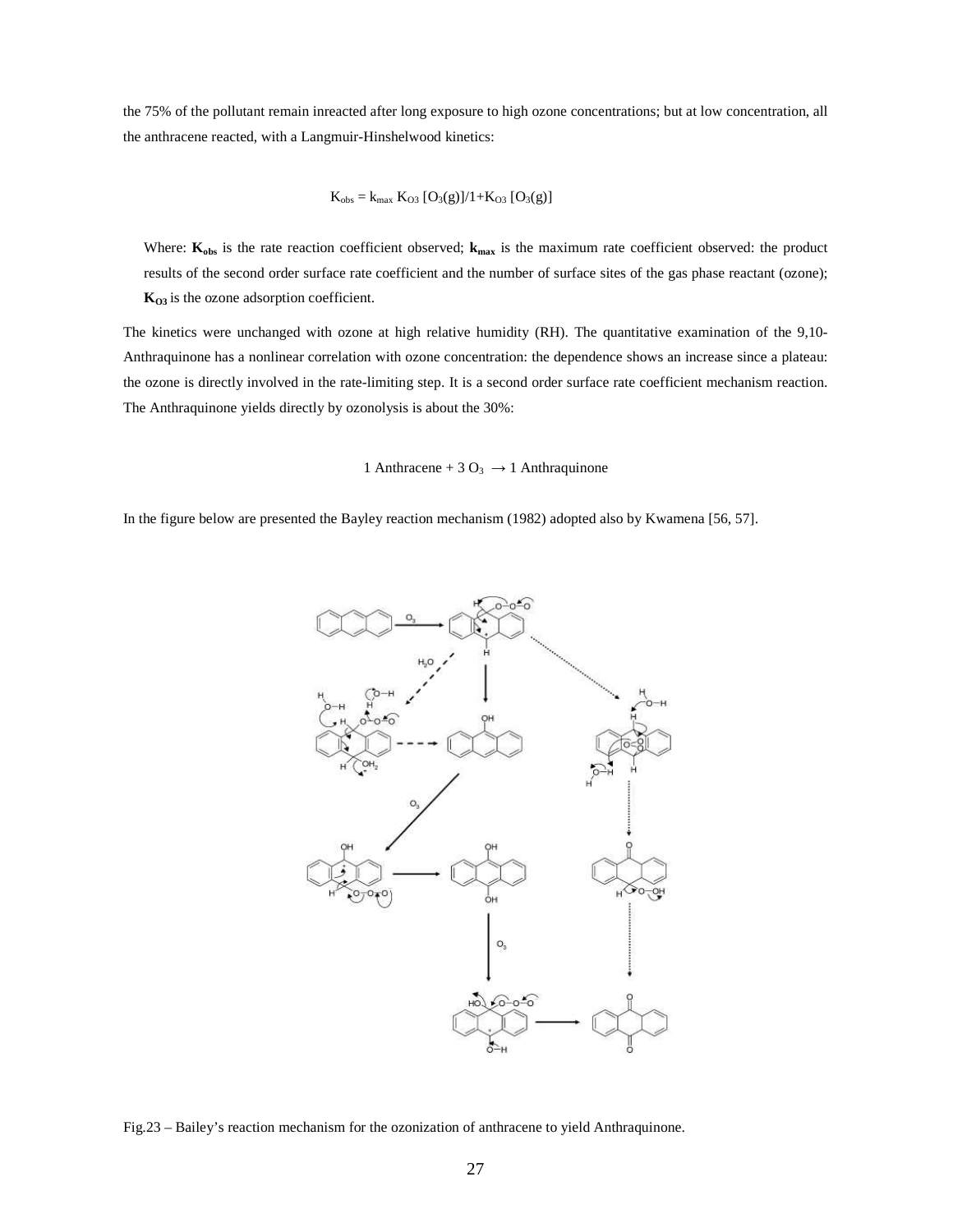the 75% of the pollutant remain inreacted after long exposure to high ozone concentrations; but at low concentration, all the anthracene reacted, with a Langmuir-Hinshelwood kinetics:

$$
K_{obs} = k_{max} K_{O3} [O_3(g)]/1 + K_{O3} [O_3(g)]
$$

Where:  $\mathbf{K}_{obs}$  is the rate reaction coefficient observed;  $\mathbf{k}_{max}$  is the maximum rate coefficient observed: the product results of the second order surface rate coefficient and the number of surface sites of the gas phase reactant (ozone); **KO3** is the ozone adsorption coefficient.

The kinetics were unchanged with ozone at high relative humidity (RH). The quantitative examination of the 9,10- Anthraquinone has a nonlinear correlation with ozone concentration: the dependence shows an increase since a plateau: the ozone is directly involved in the rate-limiting step. It is a second order surface rate coefficient mechanism reaction. The Anthraquinone yields directly by ozonolysis is about the 30%:

1 Anthracene + 3 O<sub>3</sub>  $\rightarrow$  1 Anthraquinone

In the figure below are presented the Bayley reaction mechanism (1982) adopted also by Kwamena [56, 57].



Fig.23 – Bailey's reaction mechanism for the ozonization of anthracene to yield Anthraquinone.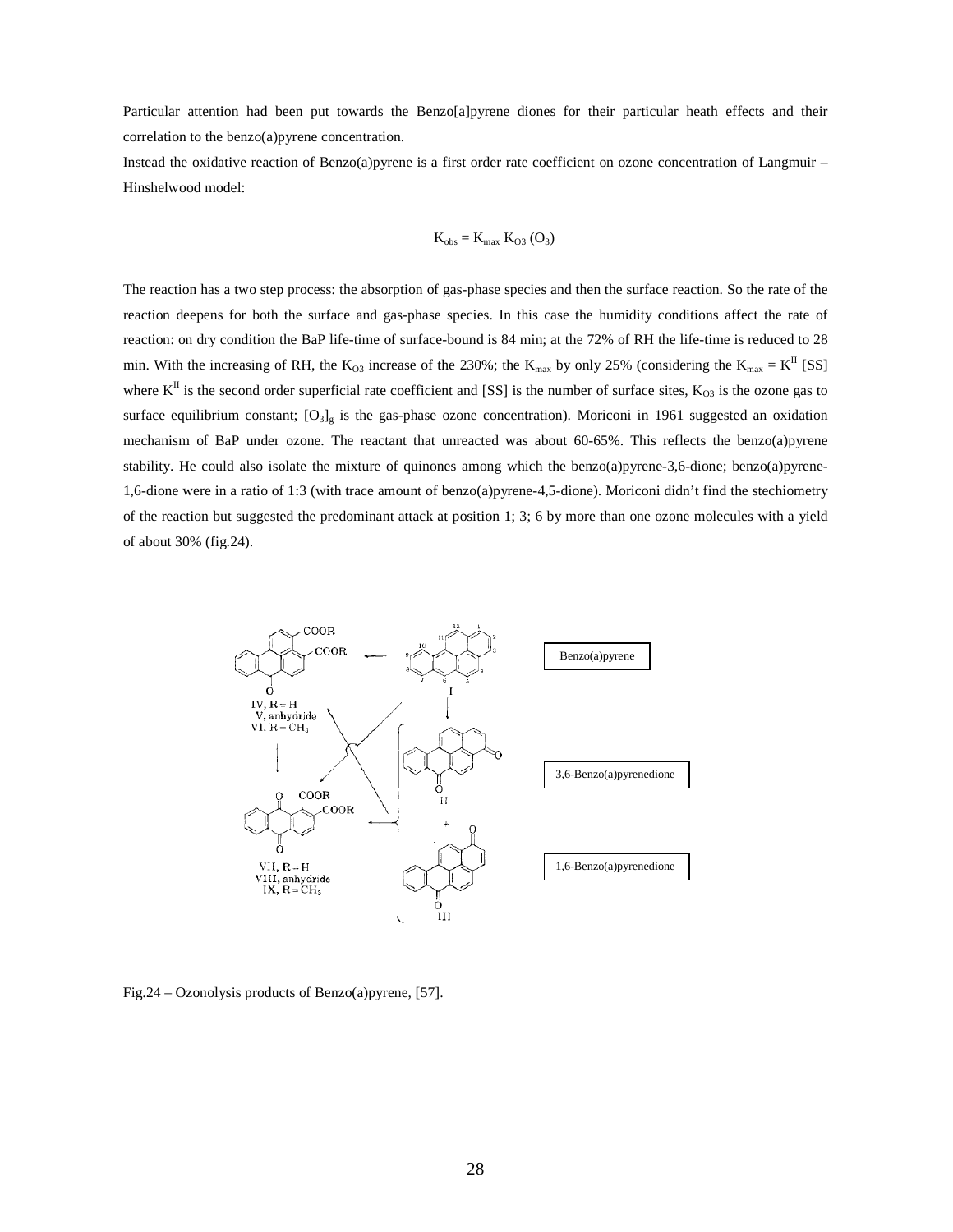Particular attention had been put towards the Benzo[a]pyrene diones for their particular heath effects and their correlation to the benzo(a)pyrene concentration.

Instead the oxidative reaction of Benzo(a)pyrene is a first order rate coefficient on ozone concentration of Langmuir – Hinshelwood model:

$$
K_{obs}=K_{max}~K_{O3}~(O_3)
$$

The reaction has a two step process: the absorption of gas-phase species and then the surface reaction. So the rate of the reaction deepens for both the surface and gas-phase species. In this case the humidity conditions affect the rate of reaction: on dry condition the BaP life-time of surface-bound is 84 min; at the 72% of RH the life-time is reduced to 28 min. With the increasing of RH, the  $K_{O3}$  increase of the 230%; the  $K_{max}$  by only 25% (considering the  $K_{max} = K^{\text{II}}$  [SS] where  $K^{\text{II}}$  is the second order superficial rate coefficient and [SS] is the number of surface sites,  $K_{03}$  is the ozone gas to surface equilibrium constant;  $[O_3]_g$  is the gas-phase ozone concentration). Moriconi in 1961 suggested an oxidation mechanism of BaP under ozone. The reactant that unreacted was about 60-65%. This reflects the benzo(a)pyrene stability. He could also isolate the mixture of quinones among which the benzo(a)pyrene-3,6-dione; benzo(a)pyrene-1,6-dione were in a ratio of 1:3 (with trace amount of benzo(a)pyrene-4,5-dione). Moriconi didn't find the stechiometry of the reaction but suggested the predominant attack at position 1; 3; 6 by more than one ozone molecules with a yield of about 30% (fig.24).



Fig.24 – Ozonolysis products of Benzo(a)pyrene, [57].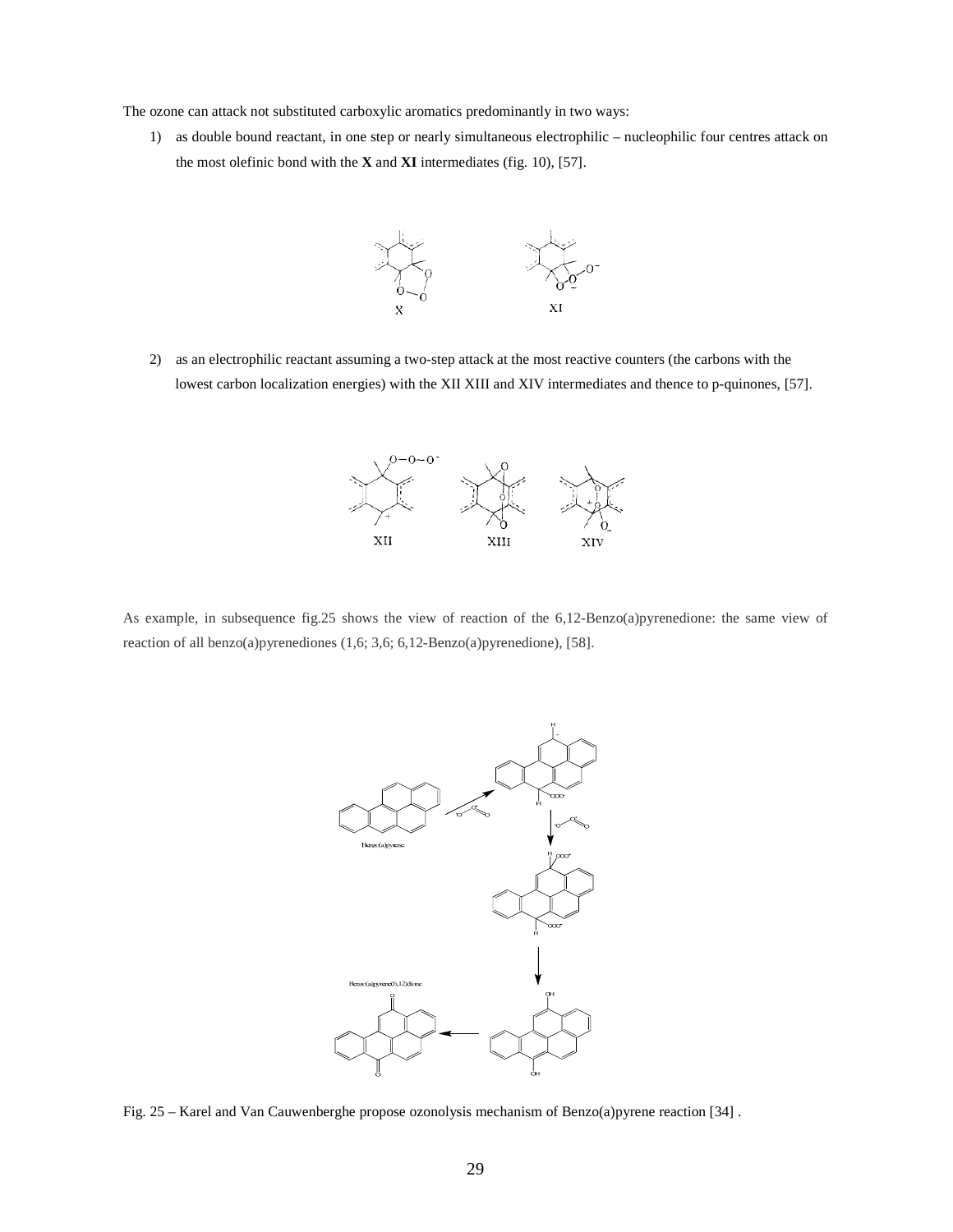The ozone can attack not substituted carboxylic aromatics predominantly in two ways:

1) as double bound reactant, in one step or nearly simultaneous electrophilic – nucleophilic four centres attack on the most olefinic bond with the **X** and **XI** intermediates (fig. 10), [57].



2) as an electrophilic reactant assuming a two-step attack at the most reactive counters (the carbons with the lowest carbon localization energies) with the XII XIII and XIV intermediates and thence to p-quinones, [57].



As example, in subsequence fig.25 shows the view of reaction of the 6,12-Benzo(a)pyrenedione: the same view of reaction of all benzo(a)pyrenediones (1,6; 3,6; 6,12-Benzo(a)pyrenedione), [58].



Fig. 25 – Karel and Van Cauwenberghe propose ozonolysis mechanism of Benzo(a)pyrene reaction [34] .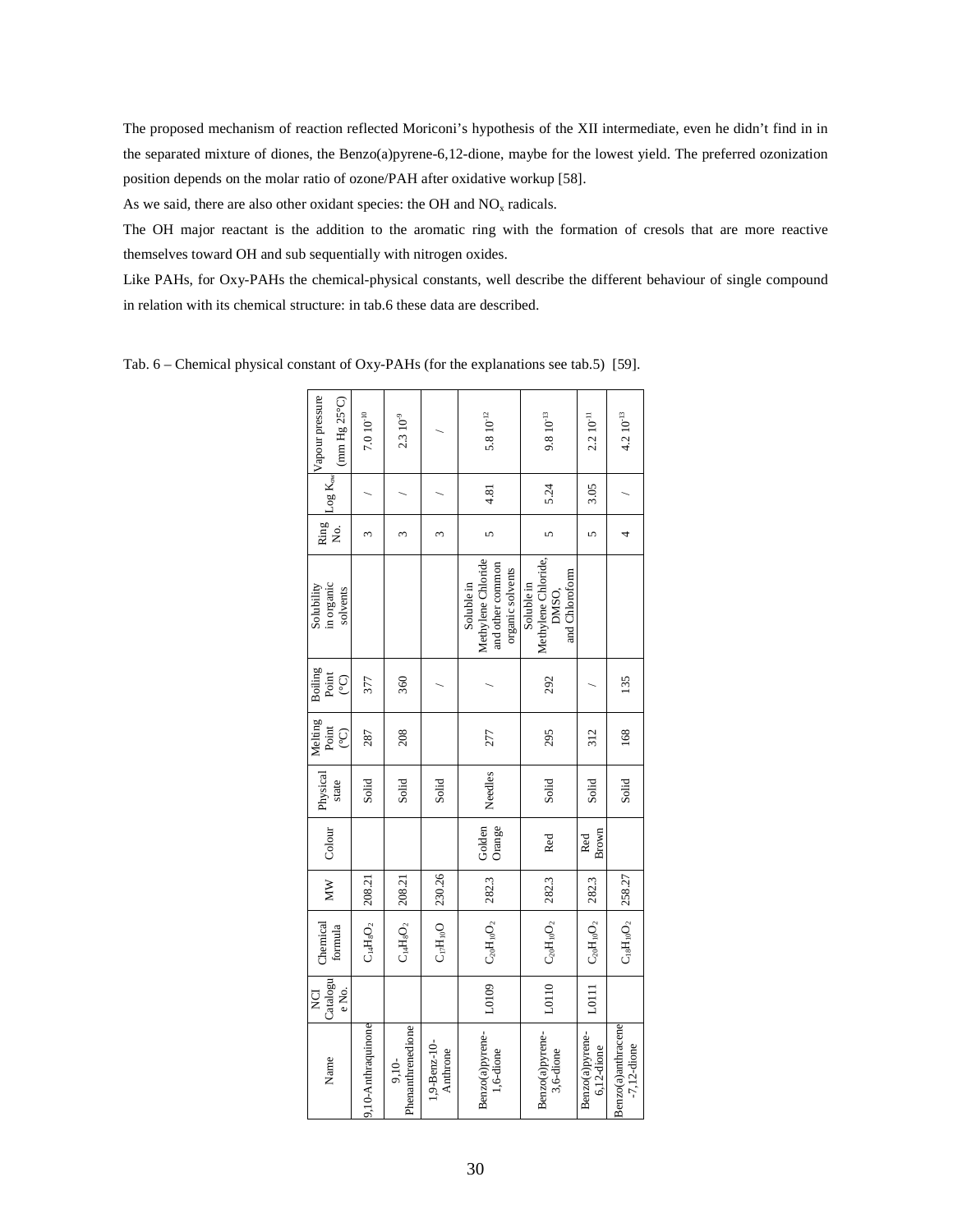The proposed mechanism of reaction reflected Moriconi's hypothesis of the XII intermediate, even he didn't find in in the separated mixture of diones, the Benzo(a)pyrene-6,12-dione, maybe for the lowest yield. The preferred ozonization position depends on the molar ratio of ozone/PAH after oxidative workup [58].

As we said, there are also other oxidant species: the OH and  $NO<sub>x</sub>$  radicals.

The OH major reactant is the addition to the aromatic ring with the formation of cresols that are more reactive themselves toward OH and sub sequentially with nitrogen oxides.

Like PAHs, for Oxy-PAHs the chemical-physical constants, well describe the different behaviour of single compound in relation with its chemical structure: in tab.6 these data are described.

| Solubility<br><b>Boiling</b><br>Melting                   |
|-----------------------------------------------------------|
| Point<br>္ပ<br>Point<br>္င<br>Physical<br>state<br>Colour |
| 287<br>Solid                                              |
| 208<br>Solid                                              |
| Solid                                                     |
| 277<br>Needles<br>Golden<br>Orange                        |
| 295<br>Solid<br>Red                                       |
| 312<br>Solid<br>Brown<br>Red                              |
| 168<br>Solid                                              |

Tab. 6 – Chemical physical constant of Oxy-PAHs (for the explanations see tab.5) [59].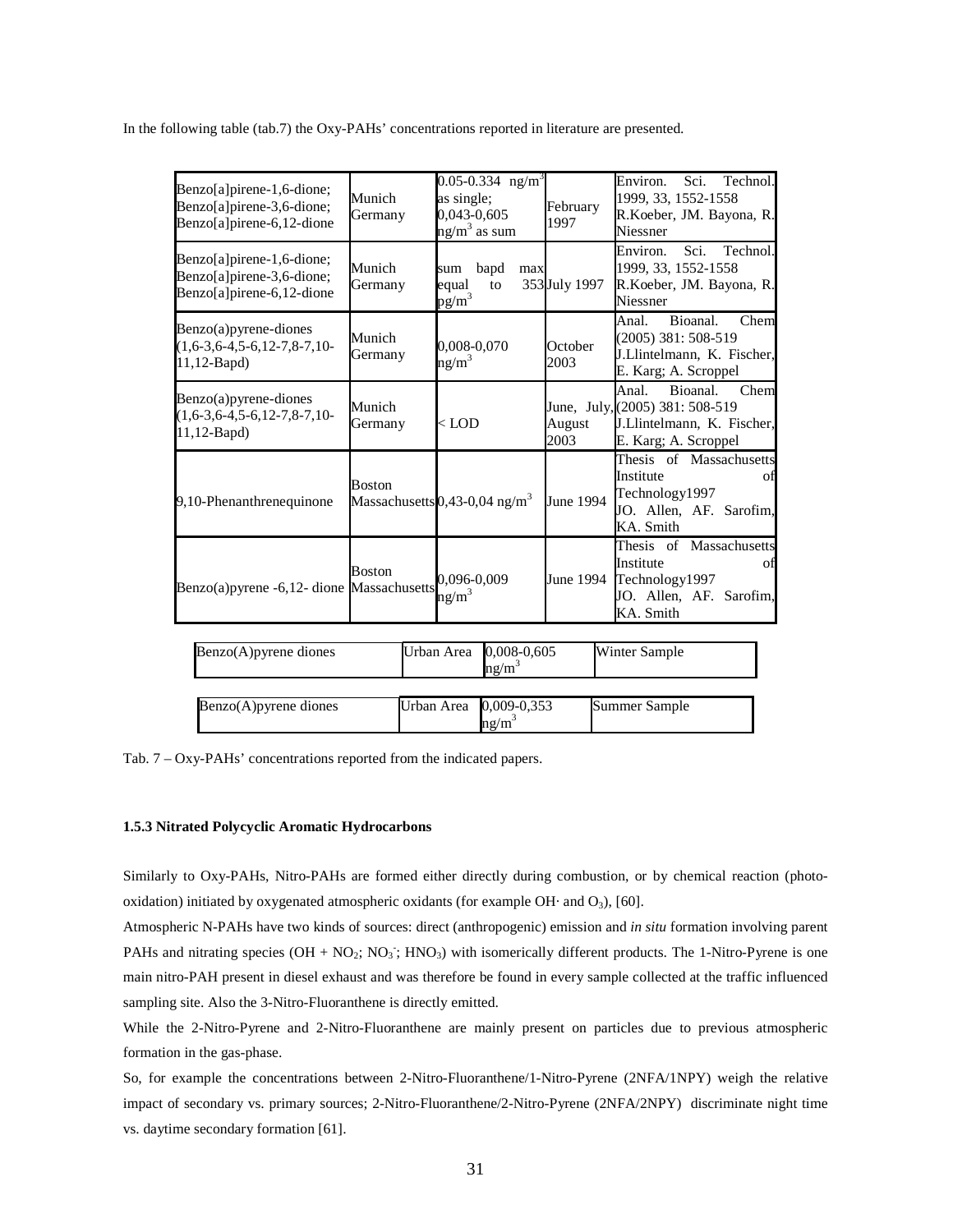In the following table (tab.7) the Oxy-PAHs' concentrations reported in literature are presented.

| Benzo[a]pirene-1,6-dione;<br>Benzo[a]pirene-3,6-dione;<br>Benzo[a]pirene-6,12-dione | Munich<br>Germany | 0.05-0.334 ng/m <sup>3</sup><br>as single;<br>0,043-0,605<br>$ng/m3$ as sum | February<br>1997 | Environ.<br>Sci.<br>Technol.<br>1999, 33, 1552-1558<br>R.Koeber, JM. Bayona, R.<br>Niessner                        |
|-------------------------------------------------------------------------------------|-------------------|-----------------------------------------------------------------------------|------------------|--------------------------------------------------------------------------------------------------------------------|
| Benzo[a]pirene-1,6-dione;<br>Benzo[a]pirene-3,6-dione;<br>Benzo[a]pirene-6,12-dione | Munich<br>Germany | bapd<br>max<br>sum<br>equal<br>to<br>$pg/m^3$                               | 353 July 1997    | Sci.<br>Technol.<br>Environ.<br>1999, 33, 1552-1558<br>R.Koeber, JM. Bayona, R.<br>Niessner                        |
| Benzo(a)pyrene-diones<br>$(1,6-3,6-4,5-6,12-7,8-7,10-$<br>$11, 12$ -Bapd)           | Munich<br>Germany | 0,008-0,070<br>ng/m <sup>3</sup>                                            | October<br>2003  | Bioanal.<br>Anal.<br>Chem<br>(2005) 381: 508-519<br>J.Llintelmann, K. Fischer,<br>E. Karg; A. Scroppel             |
| $Benzo(a)$ pyrene-diones<br>$(1,6-3,6-4,5-6,12-7,8-7,10-$<br>11,12-Bapd)            | Munich<br>Germany | $<$ LOD                                                                     | August<br>2003   | Bioanal.<br>Anal.<br>Chem<br>June, July, (2005) 381: 508-519<br>J.Llintelmann, K. Fischer,<br>E. Karg; A. Scroppel |
| 9,10-Phenanthrenequinone                                                            | <b>Boston</b>     | Massachusetts 0,43-0,04 ng/m <sup>3</sup>                                   | June 1994        | Thesis of Massachusetts<br>Institute<br>of<br>Technology1997<br>JO. Allen, AF. Sarofim,<br>KA. Smith               |
| Benzo(a) pyrene -6,12- dione Massachusetts                                          | <b>Boston</b>     | 0,096-0,009<br>$ng/m^3$                                                     | June 1994        | Thesis of Massachusetts<br>Institute<br>of<br>Technology1997<br>JO. Allen, AF. Sarofim,<br>KA. Smith               |
| Benzo(A)pyrene diones                                                               |                   | Urban Area<br>0,008-0,605<br>ng/m <sup>3</sup>                              |                  | Winter Sample                                                                                                      |
| Benzo(A) pyrene diones                                                              |                   | Urban Area<br>0,009-0,353<br>$ng/m^3$                                       |                  | <b>Summer Sample</b>                                                                                               |

Tab. 7 – Oxy-PAHs' concentrations reported from the indicated papers.

### **1.5.3 Nitrated Polycyclic Aromatic Hydrocarbons**

Similarly to Oxy-PAHs, Nitro-PAHs are formed either directly during combustion, or by chemical reaction (photooxidation) initiated by oxygenated atmospheric oxidants (for example OH· and  $O_3$ ), [60].

Atmospheric N-PAHs have two kinds of sources: direct (anthropogenic) emission and *in situ* formation involving parent PAHs and nitrating species  $(OH + NO_2; NO_3; HNO_3)$  with isomerically different products. The 1-Nitro-Pyrene is one main nitro-PAH present in diesel exhaust and was therefore be found in every sample collected at the traffic influenced sampling site. Also the 3-Nitro-Fluoranthene is directly emitted.

While the 2-Nitro-Pyrene and 2-Nitro-Fluoranthene are mainly present on particles due to previous atmospheric formation in the gas-phase.

So, for example the concentrations between 2-Nitro-Fluoranthene/1-Nitro-Pyrene (2NFA/1NPY) weigh the relative impact of secondary vs. primary sources; 2-Nitro-Fluoranthene/2-Nitro-Pyrene (2NFA/2NPY) discriminate night time vs. daytime secondary formation [61].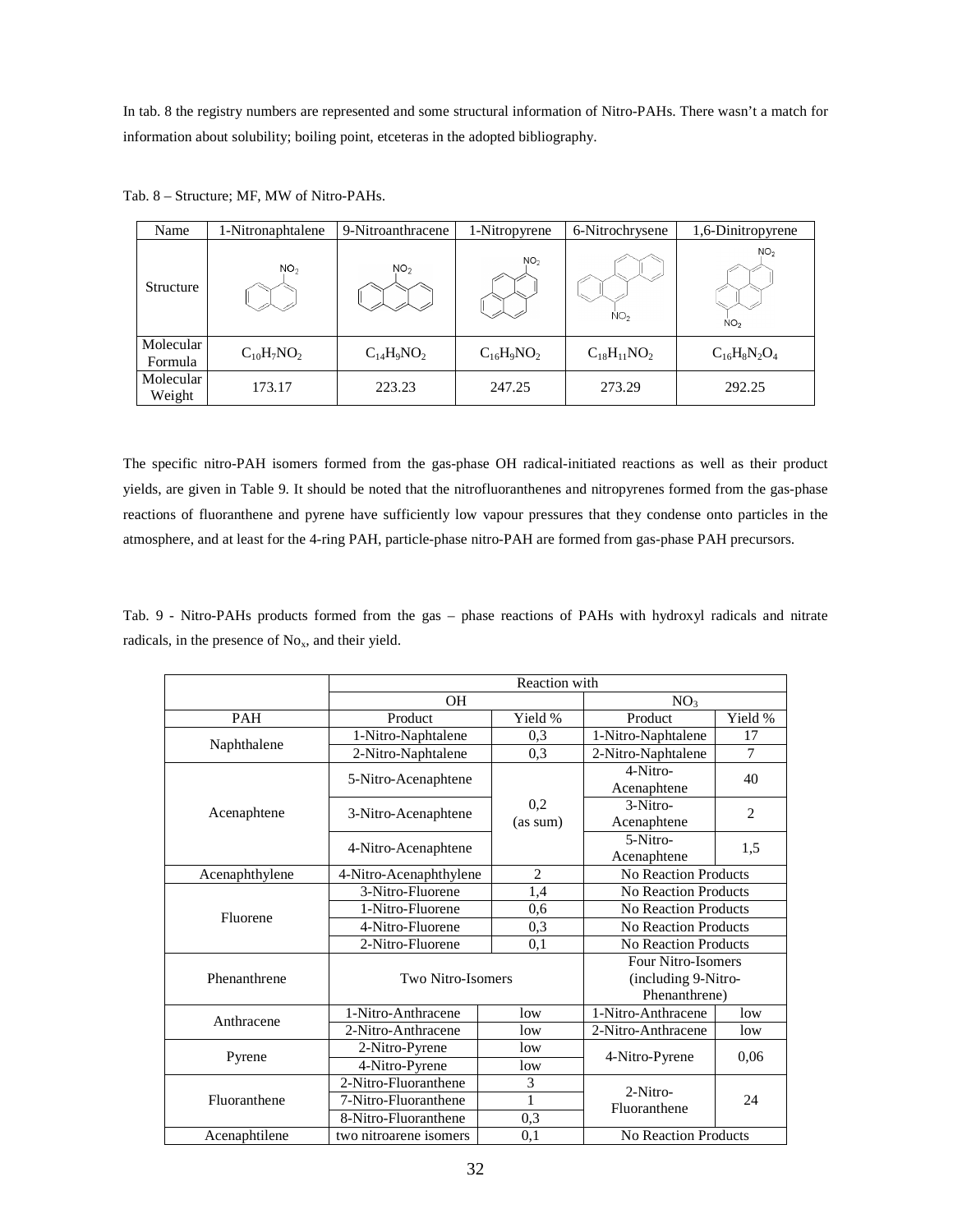In tab. 8 the registry numbers are represented and some structural information of Nitro-PAHs. There wasn't a match for information about solubility; boiling point, etceteras in the adopted bibliography.

| Name                 | 1-Nitronaphtalene | 9-Nitroanthracene | 1-Nitropyrene   | 6-Nitrochrysene    | 1,6-Dinitropyrene                  |  |
|----------------------|-------------------|-------------------|-----------------|--------------------|------------------------------------|--|
| <b>Structure</b>     | NO <sub>2</sub>   | NO <sub>2</sub>   | NO <sub>2</sub> | NO <sub>2</sub>    | NO <sub>2</sub><br>NO <sub>2</sub> |  |
| Molecular<br>Formula | $C_{10}H_7NO_2$   | $C_{14}H_9NO_2$   | $C_{16}H_9NO_2$ | $C_{18}H_{11}NO_2$ | $C_{16}H_8N_2O_4$                  |  |
| Molecular<br>Weight  | 173.17            | 223.23            | 247.25          | 273.29             | 292.25                             |  |

Tab. 8 – Structure; MF, MW of Nitro-PAHs.

The specific nitro-PAH isomers formed from the gas-phase OH radical-initiated reactions as well as their product yields, are given in Table 9. It should be noted that the nitrofluoranthenes and nitropyrenes formed from the gas-phase reactions of fluoranthene and pyrene have sufficiently low vapour pressures that they condense onto particles in the atmosphere, and at least for the 4-ring PAH, particle-phase nitro-PAH are formed from gas-phase PAH precursors.

Tab. 9 - Nitro-PAHs products formed from the gas – phase reactions of PAHs with hydroxyl radicals and nitrate radicals, in the presence of  $No<sub>x</sub>$ , and their yield.

|                |                        | Reaction with  |                             |                |  |
|----------------|------------------------|----------------|-----------------------------|----------------|--|
|                | <b>OH</b>              |                | NO <sub>3</sub>             |                |  |
| <b>PAH</b>     | Product                | Yield %        | Product                     | Yield %        |  |
| Naphthalene    | 1-Nitro-Naphtalene     | 0,3            | 1-Nitro-Naphtalene          | 17             |  |
|                | 2-Nitro-Naphtalene     | 0,3            | 2-Nitro-Naphtalene          | 7              |  |
|                | 5-Nitro-Acenaphtene    |                | 4-Nitro-                    | 40             |  |
|                |                        |                | Acenaphtene                 |                |  |
| Acenaphtene    |                        | 0,2            | $3-Nitro-$                  | $\overline{2}$ |  |
|                | 3-Nitro-Acenaphtene    | (as sum)       | Acenaphtene                 |                |  |
|                |                        |                | 5-Nitro-                    |                |  |
|                | 4-Nitro-Acenaphtene    |                | Acenaphtene                 | 1,5            |  |
| Acenaphthylene | 4-Nitro-Acenaphthylene | $\overline{2}$ | <b>No Reaction Products</b> |                |  |
|                | 3-Nitro-Fluorene       | 1,4            | No Reaction Products        |                |  |
| Fluorene       | 1-Nitro-Fluorene       | 0,6            | No Reaction Products        |                |  |
|                | 4-Nitro-Fluorene       | 0,3            | <b>No Reaction Products</b> |                |  |
|                | 2-Nitro-Fluorene       |                | <b>No Reaction Products</b> |                |  |
|                |                        |                | Four Nitro-Isomers          |                |  |
| Phenanthrene   | Two Nitro-Isomers      |                | (including 9-Nitro-         |                |  |
|                |                        |                | Phenanthrene)               |                |  |
| Anthracene     | 1-Nitro-Anthracene     | low            | 1-Nitro-Anthracene          | low            |  |
|                | 2-Nitro-Anthracene     | low            | 2-Nitro-Anthracene          | low            |  |
|                | 2-Nitro-Pyrene         | low            |                             | 0,06           |  |
| Pyrene         | 4-Nitro-Pyrene         | low            | 4-Nitro-Pyrene              |                |  |
|                | 2-Nitro-Fluoranthene   | 3              | $2-Nitro-$                  |                |  |
| Fluoranthene   | 7-Nitro-Fluoranthene   | 1              | Fluoranthene                | 24             |  |
|                | 8-Nitro-Fluoranthene   | 0,3            |                             |                |  |
| Acenaphtilene  | two nitroarene isomers | 0,1            | <b>No Reaction Products</b> |                |  |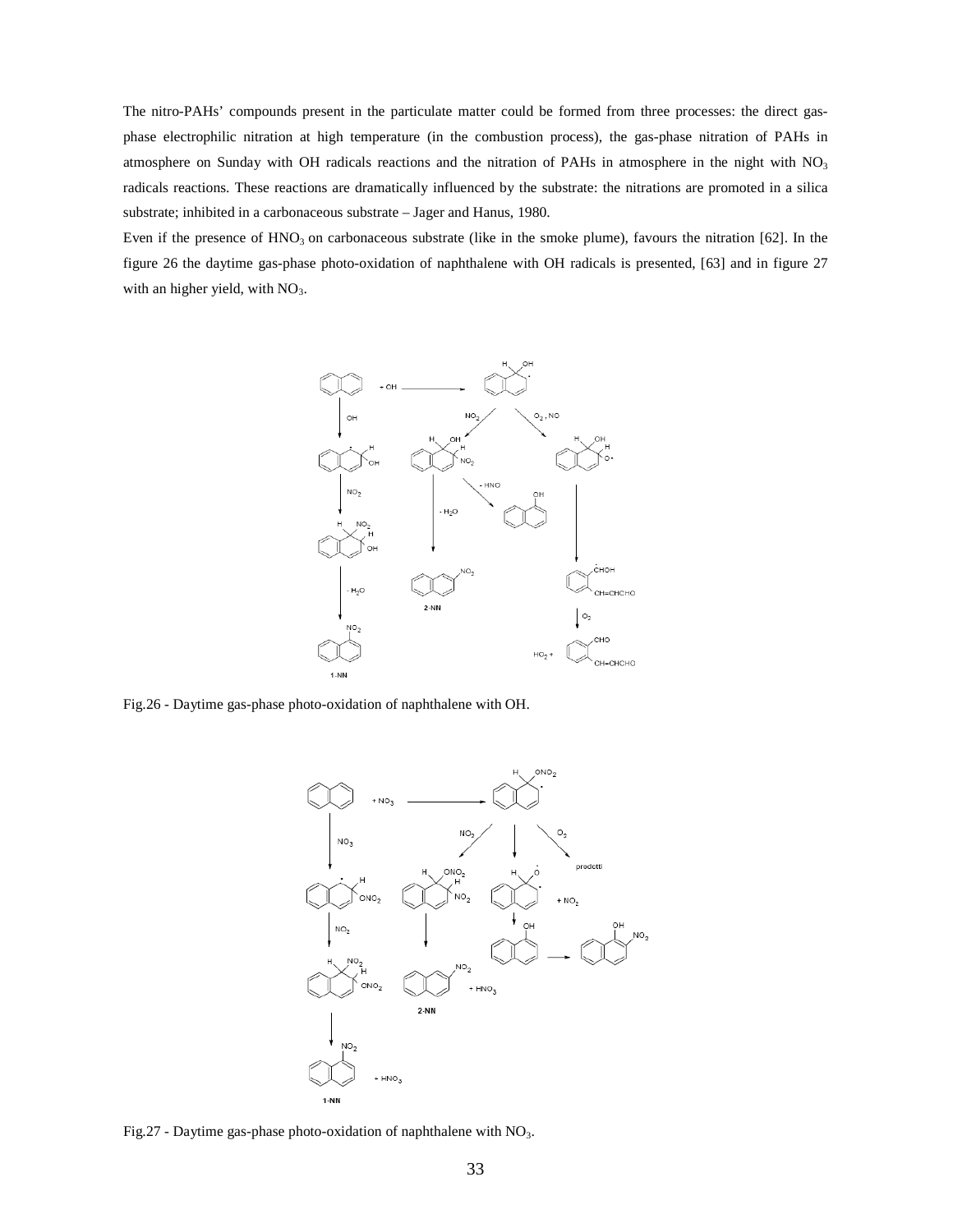The nitro-PAHs' compounds present in the particulate matter could be formed from three processes: the direct gasphase electrophilic nitration at high temperature (in the combustion process), the gas-phase nitration of PAHs in atmosphere on Sunday with OH radicals reactions and the nitration of PAHs in atmosphere in the night with NO<sub>3</sub> radicals reactions. These reactions are dramatically influenced by the substrate: the nitrations are promoted in a silica substrate; inhibited in a carbonaceous substrate – Jager and Hanus, 1980.

Even if the presence of  $HNO<sub>3</sub>$  on carbonaceous substrate (like in the smoke plume), favours the nitration [62]. In the figure 26 the daytime gas-phase photo-oxidation of naphthalene with OH radicals is presented, [63] and in figure 27 with an higher yield, with  $NO<sub>3</sub>$ .



Fig.26 - Daytime gas-phase photo-oxidation of naphthalene with OH.



Fig.27 - Daytime gas-phase photo-oxidation of naphthalene with  $NO<sub>3</sub>$ .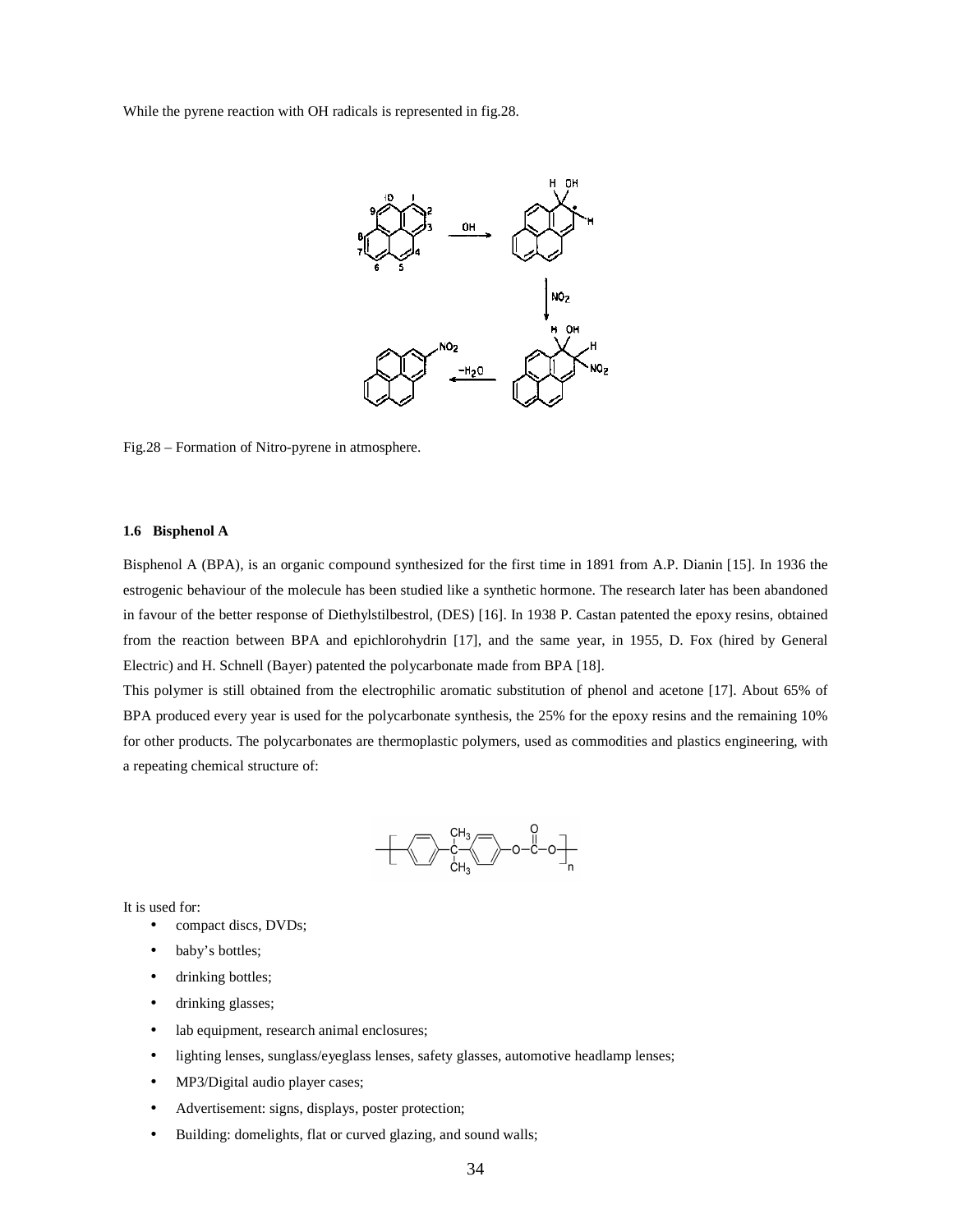While the pyrene reaction with OH radicals is represented in fig.28.



Fig.28 – Formation of Nitro-pyrene in atmosphere.

#### **1.6 Bisphenol A**

Bisphenol A (BPA), is an organic compound synthesized for the first time in 1891 from A.P. Dianin [15]. In 1936 the estrogenic behaviour of the molecule has been studied like a synthetic hormone. The research later has been abandoned in favour of the better response of Diethylstilbestrol, (DES) [16]. In 1938 P. Castan patented the epoxy resins, obtained from the reaction between BPA and epichlorohydrin [17], and the same year, in 1955, D. Fox (hired by General Electric) and H. Schnell (Bayer) patented the polycarbonate made from BPA [18].

This polymer is still obtained from the electrophilic aromatic substitution of phenol and acetone [17]. About 65% of BPA produced every year is used for the polycarbonate synthesis, the 25% for the epoxy resins and the remaining 10% for other products. The polycarbonates are thermoplastic polymers, used as commodities and plastics engineering, with a repeating chemical structure of:



It is used for:

- compact discs, DVDs;
- baby's bottles;
- drinking bottles;
- drinking glasses;
- lab equipment, research animal enclosures;
- lighting lenses, sunglass/eyeglass lenses, safety glasses, automotive headlamp lenses;
- MP3/Digital audio player cases;
- Advertisement: signs, displays, poster protection;
- Building: domelights, flat or curved glazing, and sound walls;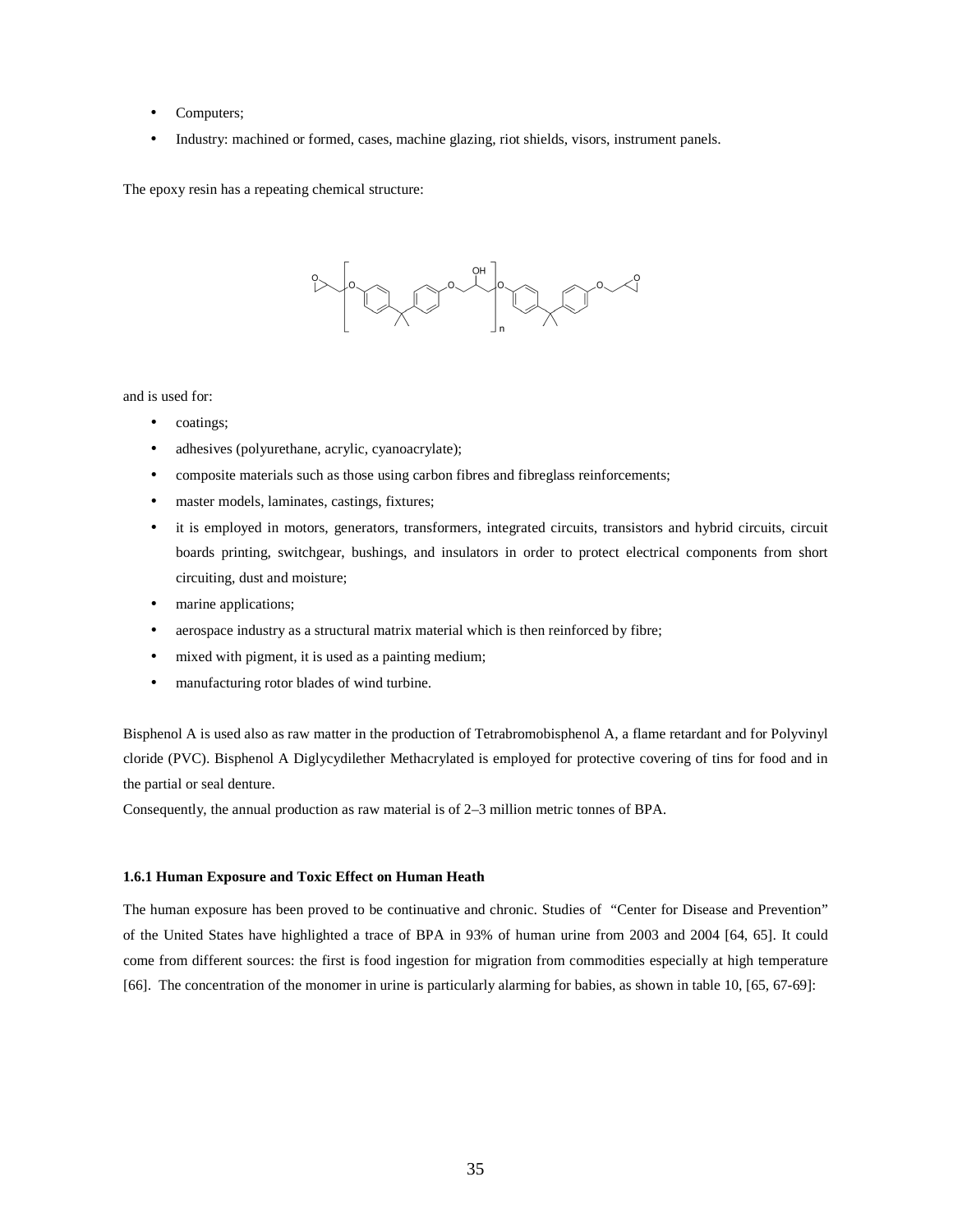- Computers;
- Industry: machined or formed, cases, machine glazing, riot shields, visors, instrument panels.

The epoxy resin has a repeating chemical structure:



and is used for:

- coatings;
- adhesives (polyurethane, acrylic, cyanoacrylate);
- composite materials such as those using carbon fibres and fibreglass reinforcements;
- master models, laminates, castings, fixtures;
- it is employed in motors, generators, transformers, integrated circuits, transistors and hybrid circuits, circuit boards printing, switchgear, bushings, and insulators in order to protect electrical components from short circuiting, dust and moisture;
- marine applications;
- aerospace industry as a structural matrix material which is then reinforced by fibre;
- mixed with pigment, it is used as a painting medium;
- manufacturing rotor blades of wind turbine.

Bisphenol A is used also as raw matter in the production of Tetrabromobisphenol A, a flame retardant and for Polyvinyl cloride (PVC). Bisphenol A Diglycydilether Methacrylated is employed for protective covering of tins for food and in the partial or seal denture.

Consequently, the annual production as raw material is of 2–3 million metric tonnes of BPA.

# **1.6.1 Human Exposure and Toxic Effect on Human Heath**

The human exposure has been proved to be continuative and chronic. Studies of "Center for Disease and Prevention" of the United States have highlighted a trace of BPA in 93% of human urine from 2003 and 2004 [64, 65]. It could come from different sources: the first is food ingestion for migration from commodities especially at high temperature [66]. The concentration of the monomer in urine is particularly alarming for babies, as shown in table 10, [65, 67-69]: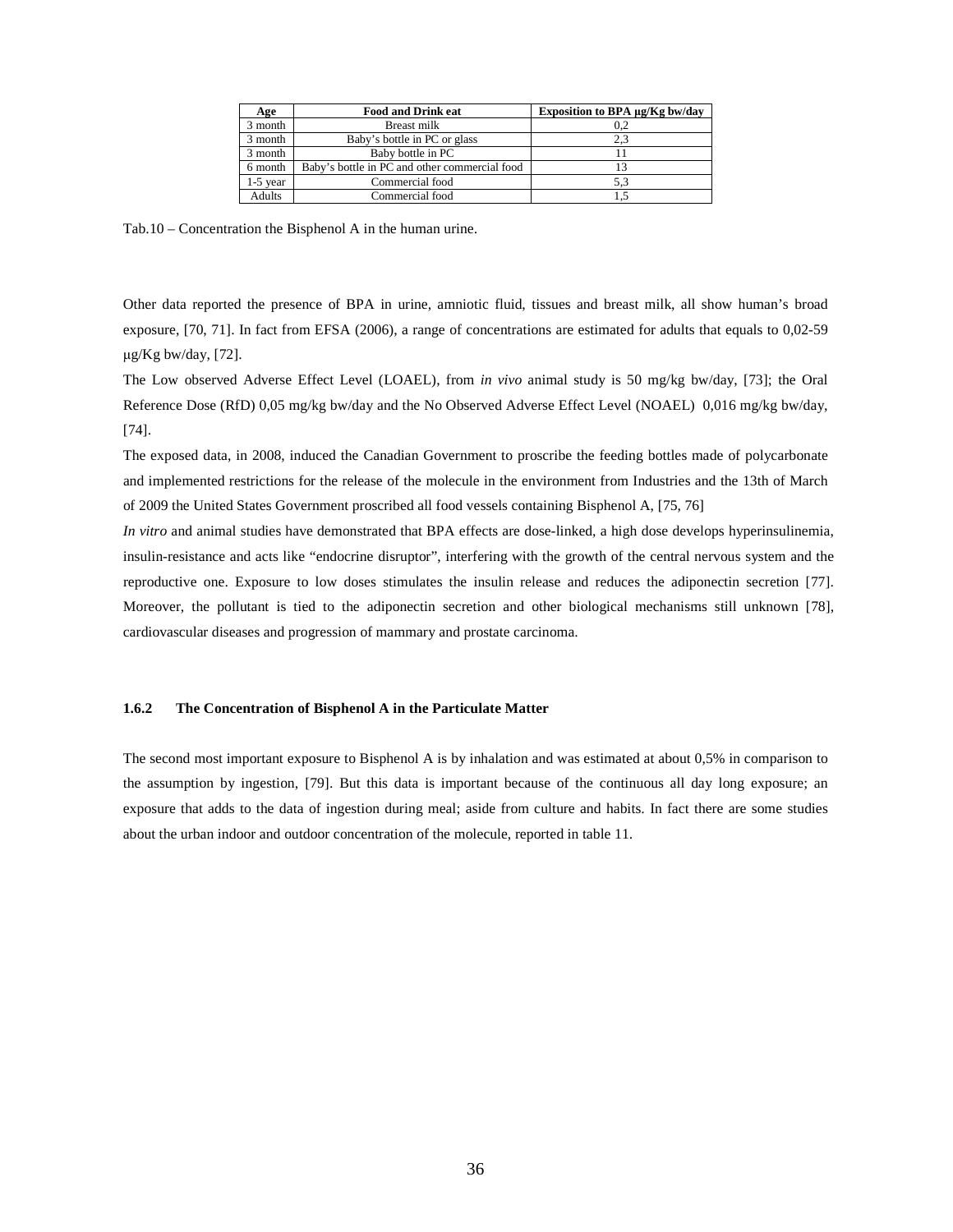| Age        | <b>Food and Drink eat</b>                     | Exposition to BPA µg/Kg bw/day |
|------------|-----------------------------------------------|--------------------------------|
| 3 month    | Breast milk                                   | 0.2                            |
| 3 month    | Baby's bottle in PC or glass                  | 2.3                            |
| 3 month    | Baby bottle in PC                             |                                |
| 6 month    | Baby's bottle in PC and other commercial food |                                |
| $1-5$ year | Commercial food                               | 5.3                            |
| Adults     | Commercial food                               |                                |

Tab.10 – Concentration the Bisphenol A in the human urine.

Other data reported the presence of BPA in urine, amniotic fluid, tissues and breast milk, all show human's broad exposure, [70, 71]. In fact from EFSA (2006), a range of concentrations are estimated for adults that equals to 0,02-59  $\mu$ g/Kg bw/day, [72].

The Low observed Adverse Effect Level (LOAEL), from *in vivo* animal study is 50 mg/kg bw/day, [73]; the Oral Reference Dose (RfD) 0,05 mg/kg bw/day and the No Observed Adverse Effect Level (NOAEL) 0,016 mg/kg bw/day, [74].

The exposed data, in 2008, induced the Canadian Government to proscribe the feeding bottles made of polycarbonate and implemented restrictions for the release of the molecule in the environment from Industries and the 13th of March of 2009 the United States Government proscribed all food vessels containing Bisphenol A, [75, 76]

*In vitro* and animal studies have demonstrated that BPA effects are dose-linked, a high dose develops hyperinsulinemia, insulin-resistance and acts like "endocrine disruptor", interfering with the growth of the central nervous system and the reproductive one. Exposure to low doses stimulates the insulin release and reduces the adiponectin secretion [77]. Moreover, the pollutant is tied to the adiponectin secretion and other biological mechanisms still unknown [78], cardiovascular diseases and progression of mammary and prostate carcinoma.

## **1.6.2 The Concentration of Bisphenol A in the Particulate Matter**

The second most important exposure to Bisphenol A is by inhalation and was estimated at about 0,5% in comparison to the assumption by ingestion, [79]. But this data is important because of the continuous all day long exposure; an exposure that adds to the data of ingestion during meal; aside from culture and habits. In fact there are some studies about the urban indoor and outdoor concentration of the molecule, reported in table 11.